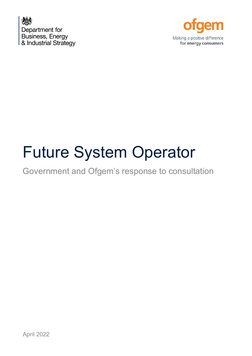



# Future System Operator

## Government and Ofgem's response to consultation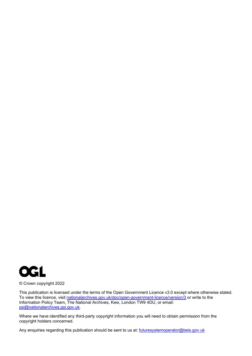

#### © Crown copyright 2022

This publication is licensed under the terms of the Open Government Licence v3.0 except where otherwise stated. To view this licence, visit [nationalarchives.gov.uk/doc/open-government-licence/version/3](http://nationalarchives.gov.uk/doc/open-government-licence/version/3/) or write to the Information Policy Team, The National Archives, Kew, London TW9 4DU, or email: [psi@nationalarchives.gsi.gov.uk.](mailto:psi@nationalarchives.gsi.gov.uk)

Where we have identified any third-party copyright information you will need to obtain permission from the copyright holders concerned.

Any enquiries regarding this publication should be sent to us at: [futuresystemoperator@beis.gov.uk](mailto:futuresystemoperator@beis.gov.uk)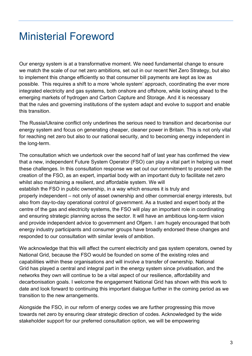## Ministerial Foreword

Our energy system is at a transformative moment. We need fundamental change to ensure we match the scale of our net zero ambitions, set out in our recent Net Zero Strategy, but also to implement this change efficiently so that consumer bill payments are kept as low as possible. This requires a shift to a more 'whole system' approach, coordinating the ever more integrated electricity and gas systems, both onshore and offshore, while looking ahead to the emerging markets of hydrogen and Carbon Capture and Storage. And it is necessary that the rules and governing institutions of the system adapt and evolve to support and enable this transition.

The Russia/Ukraine conflict only underlines the serious need to transition and decarbonise our energy system and focus on generating cheaper, cleaner power in Britain. This is not only vital for reaching net zero but also to our national security, and to becoming energy independent in the long-term.

The consultation which we undertook over the second half of last year has confirmed the view that a new, independent Future System Operator (FSO) can play a vital part in helping us meet these challenges. In this consultation response we set out our commitment to proceed with the creation of the FSO, as an expert, impartial body with an important duty to facilitate net zero whilst also maintaining a resilient, and affordable system. We will establish the FSO in public ownership, in a way which ensures it is truly and properly independent – not only of asset ownership and other commercial energy interests, but also from day-to-day operational control of government. As a trusted and expert body at the centre of the gas and electricity systems, the FSO will play an important role in coordinating and ensuring strategic planning across the sector. It will have an ambitious long-term vision and provide independent advice to government and Ofgem. I am hugely encouraged that both energy industry participants and consumer groups have broadly endorsed these changes and responded to our consultation with similar levels of ambition.

We acknowledge that this will affect the current electricity and gas system operators, owned by National Grid, because the FSO would be founded on some of the existing roles and capabilities within these organisations and will involve a transfer of ownership. National Grid has played a central and integral part in the energy system since privatisation, and the networks they own will continue to be a vital aspect of our resilience, affordability and decarbonisation goals. I welcome the engagement National Grid has shown with this work to date and look forward to continuing this important dialogue further in the coming period as we transition to the new arrangements.

Alongside the FSO, in our reform of energy codes we are further progressing this move towards net zero by ensuring clear strategic direction of codes. Acknowledged by the wide stakeholder support for our preferred consultation option, we will be empowering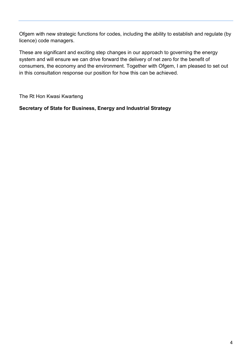Ofgem with new strategic functions for codes, including the ability to establish and regulate (by licence) code managers.

These are significant and exciting step changes in our approach to governing the energy system and will ensure we can drive forward the delivery of net zero for the benefit of consumers, the economy and the environment. Together with Ofgem, I am pleased to set out in this consultation response our position for how this can be achieved.

The Rt Hon Kwasi Kwarteng

**Secretary of State for Business, Energy and Industrial Strategy**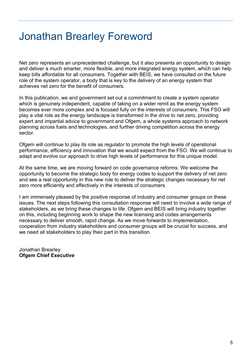## Jonathan Brearley Foreword

Net zero represents an unprecedented challenge, but it also presents an opportunity to design and deliver a much smarter, more flexible, and more integrated energy system, which can help keep bills affordable for all consumers. Together with BEIS, we have consulted on the future role of the system operator, a body that is key to the delivery of an energy system that achieves net zero for the benefit of consumers.

In this publication, we and government set out a commitment to create a system operator which is genuinely independent, capable of taking on a wider remit as the energy system becomes ever more complex and is focused fully on the interests of consumers. This FSO will play a vital role as the energy landscape is transformed in the drive to net zero, providing expert and impartial advice to government and Ofgem, a whole systems approach to network planning across fuels and technologies, and further driving competition across the energy sector.

Ofgem will continue to play its role as regulator to promote the high levels of operational performance, efficiency and innovation that we would expect from the FSO. We will continue to adapt and evolve our approach to drive high levels of performance for this unique model.

At the same time, we are moving forward on code governance reforms. We welcome the opportunity to become the strategic body for energy codes to support the delivery of net zero and see a real opportunity in this new role to deliver the strategic changes necessary for net zero more efficiently and effectively in the interests of consumers.

I am immensely pleased by the positive response of industry and consumer groups on these issues. The next steps following this consultation response will need to involve a wide range of stakeholders, as we bring these changes to life. Ofgem and BEIS will bring industry together on this, including beginning work to shape the new licensing and codes arrangements necessary to deliver smooth, rapid change. As we move forwards to implementation, cooperation from industry stakeholders and consumer groups will be crucial for success, and we need all stakeholders to play their part in this transition.

Jonathan Brearley **Ofgem Chief Executive**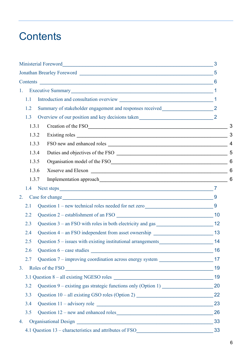## **Contents**

| 1.                                                                                          |    |
|---------------------------------------------------------------------------------------------|----|
| 1.1                                                                                         |    |
| Summary of stakeholder engagement and responses received_________________________ 2<br>1.2  |    |
| 1.3                                                                                         |    |
| Creation of the FSO<br>1.3.1                                                                |    |
| 1.3.2                                                                                       |    |
| 1.3.3                                                                                       |    |
| Duties and objectives of the FSO<br>1.3.4                                                   |    |
| 1.3.5                                                                                       |    |
| 1.3.6                                                                                       |    |
| 1.3.7                                                                                       |    |
| 1.4                                                                                         |    |
| 2.<br>Case for change 1994                                                                  |    |
| Question 1 – new technical roles needed for net zero 9<br>2.1                               |    |
| 2.2                                                                                         |    |
| 2.3                                                                                         |    |
| Question 4 – an FSO independent from asset ownership ____________________________ 13<br>2.4 |    |
| Question 5 – issues with existing institutional arrangements 14<br>2.5                      |    |
| Question $6 - \case$ studies<br>2.6                                                         | 16 |
| Question 7 – improving coordination across energy system ________________________ 17<br>2.7 |    |
| Roles of the FSO<br>3.                                                                      | 19 |
|                                                                                             | 19 |
| 3.2                                                                                         |    |
| 3.3                                                                                         |    |
| 3.4<br>Question 11 - advisory role                                                          | 23 |
| Question 12 – new and enhanced roles<br>3.5                                                 | 26 |
| 4.                                                                                          | 33 |
| 4.1 Question 13 – characteristics and attributes of FSO                                     | 33 |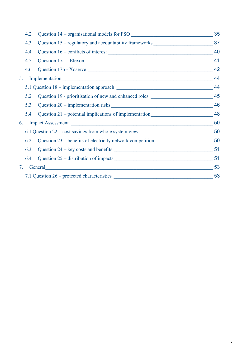| 4.2 | Question 14 – organisational models for FSO                                                                                                                                                                                    | 35 |
|-----|--------------------------------------------------------------------------------------------------------------------------------------------------------------------------------------------------------------------------------|----|
| 4.3 |                                                                                                                                                                                                                                |    |
| 4.4 |                                                                                                                                                                                                                                | 40 |
| 4.5 | Question 17a – Elexon                                                                                                                                                                                                          | 41 |
| 4.6 | Question 17b - Xoserve                                                                                                                                                                                                         | 42 |
| 5.  | Implementation expansion and the contract of the contract of the contract of the contract of the contract of the contract of the contract of the contract of the contract of the contract of the contract of the contract of t | 44 |
|     | 5.1 Question 18 – implementation approach                                                                                                                                                                                      | 44 |
| 5.2 | Question 19 - prioritisation of new and enhanced roles                                                                                                                                                                         | 45 |
| 5.3 |                                                                                                                                                                                                                                | 46 |
| 5.4 | Question 21 – potential implications of implementation___________________________ 48                                                                                                                                           |    |
| 6.  |                                                                                                                                                                                                                                | 50 |
|     |                                                                                                                                                                                                                                |    |
| 6.2 |                                                                                                                                                                                                                                |    |
| 6.3 |                                                                                                                                                                                                                                |    |
| 6.4 | Question 25 – distribution of impacts expansion of interests and the set of the set of the set of the set of the set of the set of the set of the set of the set of the set of the set of the set of the set of the set of the | 51 |
| 7.  | General Contract Contract of the Contract of the Contract of the Contract of the Contract of the Contract of the Contract of the Contract of the Contract of the Contract of the Contract of the Contract of the Contract of t | 53 |
|     | 7.1 Question 26 – protected characteristics                                                                                                                                                                                    | 53 |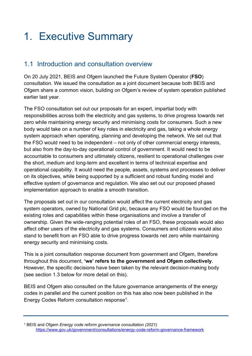## 1. Executive Summary

## 1.1 Introduction and consultation overview

On 20 July 2021, BEIS and Ofgem launched the Future System Operator (**FSO**) consultation. We issued the consultation as a joint document because both BEIS and Ofgem share a common vision, building on Ofgem's review of system operation published earlier last year.

The FSO consultation set out our proposals for an expert, impartial body with responsibilities across both the electricity and gas systems, to drive progress towards net zero while maintaining energy security and minimising costs for consumers. Such a new body would take on a number of key roles in electricity and gas, taking a whole energy system approach when operating, planning and developing the network. We set out that the FSO would need to be independent – not only of other commercial energy interests, but also from the day-to-day operational control of government. It would need to be accountable to consumers and ultimately citizens, resilient to operational challenges over the short, medium and long-term and excellent in terms of technical expertise and operational capability. It would need the people, assets, systems and processes to deliver on its objectives, while being supported by a sufficient and robust funding model and effective system of governance and regulation. We also set out our proposed phased implementation approach to enable a smooth transition.

The proposals set out in our consultation would affect the current electricity and gas system operators, owned by National Grid plc, because any FSO would be founded on the existing roles and capabilities within these organisations and involve a transfer of ownership. Given the wide-ranging potential roles of an FSO, these proposals would also affect other users of the electricity and gas systems. Consumers and citizens would also stand to benefit from an FSO able to drive progress towards net zero while maintaining energy security and minimising costs.

This is a joint consultation response document from government and Ofgem, therefore throughout this document, **'we' refers to the government and Ofgem collectively**. However, the specific decisions have been taken by the relevant decision-making body (see section 1.3 below for more detail on this).

BEIS and Ofgem also consulted on the future governance arrangements of the energy codes in parallel and the current position on this has also now been published in the Energy Codes Reform consultation response[1](#page-7-0).

<span id="page-7-0"></span><sup>1</sup> BEIS and Ofgem *Energy code reform governance consultation (2021)*  <https://www.gov.uk/government/consultations/energy-code-reform-governance-framework>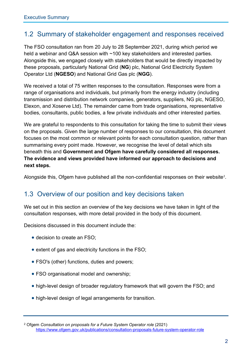### 1.2 Summary of stakeholder engagement and responses received

The FSO consultation ran from 20 July to 28 September 2021, during which period we held a webinar and Q&A session with ~100 key stakeholders and interested parties. Alongside this, we engaged closely with stakeholders that would be directly impacted by these proposals, particularly National Grid (**NG**) plc, National Grid Electricity System Operator Ltd (**NGESO**) and National Grid Gas plc (**NGG**).

We received a total of 75 written responses to the consultation. Responses were from a range of organisations and individuals, but primarily from the energy industry (including transmission and distribution network companies, generators, suppliers, NG plc, NGESO, Elexon, and Xoserve Ltd). The remainder came from trade organisations, representative bodies, consultants, public bodies, a few private individuals and other interested parties.

We are grateful to respondents to this consultation for taking the time to submit their views on the proposals. Given the large number of responses to our consultation, this document focuses on the most common or relevant points for each consultation question, rather than summarising every point made. However, we recognise the level of detail which sits beneath this and **Government and Ofgem have carefully considered all responses. The evidence and views provided have informed our approach to decisions and next steps.** 

Alongside this, Ofgem have published all the non-confidential responses on their website $^{\text{2}}$  $^{\text{2}}$  $^{\text{2}}$ .

### 1.3 Overview of our position and key decisions taken

We set out in this section an overview of the key decisions we have taken in light of the consultation responses, with more detail provided in the body of this document.

Decisions discussed in this document include the:

- decision to create an FSO;
- extent of gas and electricity functions in the FSO;
- FSO's (other) functions, duties and powers;
- FSO organisational model and ownership;
- high-level design of broader regulatory framework that will govern the FSO; and
- high-level design of legal arrangements for transition.

<span id="page-8-0"></span><sup>2</sup> Ofgem *Consultation on proposals for a Future System Operator role* (2021) <https://www.ofgem.gov.uk/publications/consultation-proposals-future-system-operator-role>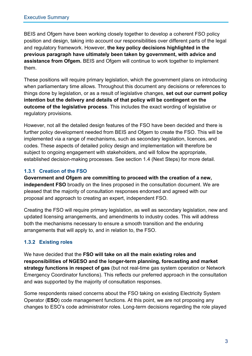BEIS and Ofgem have been working closely together to develop a coherent FSO policy position and design, taking into account our responsibilities over different parts of the legal and regulatory framework. However, **the key policy decisions highlighted in the previous paragraph have ultimately been taken by government, with advice and assistance from Ofgem.** BEIS and Ofgem will continue to work together to implement them.

These positions will require primary legislation, which the government plans on introducing when parliamentary time allows. Throughout this document any decisions or references to things done by legislation, or as a result of legislative changes, **set out our current policy intention but the delivery and details of that policy will be contingent on the outcome of the legislative process**. This includes the exact wording of legislative or regulatory provisions.

However, not all the detailed design features of the FSO have been decided and there is further policy development needed from BEIS and Ofgem to create the FSO. This will be implemented via a range of mechanisms, such as secondary legislation, licences, and codes. These aspects of detailed policy design and implementation will therefore be subject to ongoing engagement with stakeholders, and will follow the appropriate, established decision-making processes. See section 1.4 (Next Steps) for more detail.

#### **1.3.1 Creation of the FSO**

**Government and Ofgem are committing to proceed with the creation of a new, independent FSO** broadly on the lines proposed in the consultation document. We are pleased that the majority of consultation responses endorsed and agreed with our proposal and approach to creating an expert, independent FSO.

Creating the FSO will require primary legislation, as well as secondary legislation, new and updated licensing arrangements, and amendments to industry codes. This will address both the mechanisms necessary to ensure a smooth transition and the enduring arrangements that will apply to, and in relation to, the FSO.

#### **1.3.2 Existing roles**

We have decided that the **FSO will take on all the main existing roles and responsibilities of NGESO and the longer-term planning, forecasting and market strategy functions in respect of gas** (but not real-time gas system operation or Network Emergency Coordinator functions). This reflects our preferred approach in the consultation and was supported by the majority of consultation responses.

Some respondents raised concerns about the FSO taking on existing Electricity System Operator (**ESO**) code management functions. At this point, we are not proposing any changes to ESO's code administrator roles. Long-term decisions regarding the role played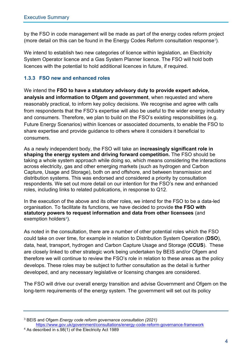by the FSO in code management will be made as part of the energy codes reform project (more detail on this can be found in the Energy Codes Reform consultation response<sup>[3](#page-10-0)</sup>).

We intend to establish two new categories of licence within legislation, an Electricity System Operator licence and a Gas System Planner licence. The FSO will hold both licences with the potential to hold additional licences in future, if required.

#### **1.3.3 FSO new and enhanced roles**

We intend the **FSO to have a statutory advisory duty to provide expert advice, analysis and information to Ofgem and government**, when requested and where reasonably practical, to inform key policy decisions. We recognise and agree with calls from respondents that the FSO's expertise will also be useful to the wider energy industry and consumers. Therefore, we plan to build on the FSO's existing responsibilities (e.g. Future Energy Scenarios) within licences or associated documents, to enable the FSO to share expertise and provide guidance to others where it considers it beneficial to consumers.

As a newly independent body, the FSO will take an **increasingly significant role in shaping the energy system and driving forward competition.** The FSO should be taking a whole system approach while doing so, which means considering the interactions across electricity, gas and other emerging markets (such as hydrogen and Carbon Capture, Usage and Storage), both on and offshore, and between transmission and distribution systems. This was endorsed and considered a priority by consultation respondents. We set out more detail on our intention for the FSO's new and enhanced roles, including links to related publications, in response to Q12.

In the execution of the above and its other roles, we intend for the FSO to be a data-led organisation. To facilitate its functions, we have decided to provide **the FSO with statutory powers to request information and data from other licensees** (and exemption holders $4$ ).

As noted in the consultation, there are a number of other potential roles which the FSO could take on over time, for example in relation to Distribution System Operation (**DSO**), data, heat, transport, hydrogen and Carbon Capture Usage and Storage (**CCUS**). These are closely linked to other strategic work being undertaken by BEIS and/or Ofgem and therefore we will continue to review the FSO's role in relation to these areas as the policy develops. These roles may be subject to further consultation as the detail is further developed, and any necessary legislative or licensing changes are considered.

The FSO will drive our overall energy transition and advise Government and Ofgem on the long-term requirements of the energy system. The government will set out its policy

<https://www.gov.uk/government/consultations/energy-code-reform-governance-framework>

<span id="page-10-0"></span><sup>3</sup> BEIS and Ofgem *Energy code reform governance consultation (2021)* 

<span id="page-10-1"></span><sup>4</sup> As described in s.98(1) of the Electricity Act 1989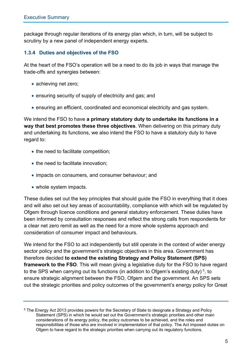package through regular iterations of its energy plan which, in turn, will be subject to scrutiny by a new panel of independent energy experts.

#### **1.3.4 Duties and objectives of the FSO**

At the heart of the FSO's operation will be a need to do its job in ways that manage the trade-offs and synergies between:

- achieving net zero;
- ensuring security of supply of electricity and gas; and
- ensuring an efficient, coordinated and economical electricity and gas system.

We intend the FSO to have **a primary statutory duty to undertake its functions in a way that best promotes these three objectives**. When delivering on this primary duty and undertaking its functions, we also intend the FSO to have a statutory duty to have regard to:

- the need to facilitate competition;
- the need to facilitate innovation;
- impacts on consumers, and consumer behaviour; and
- whole system impacts.

These duties set out the key principles that should guide the FSO in everything that it does and will also set out key areas of accountability, compliance with which will be regulated by Ofgem through licence conditions and general statutory enforcement. These duties have been informed by consultation responses and reflect the strong calls from respondents for a clear net zero remit as well as the need for a more whole systems approach and consideration of consumer impact and behaviours.

We intend for the FSO to act independently but still operate in the context of wider energy sector policy and the government's strategic objectives in this area. Government has therefore decided **to extend the existing Strategy and Policy Statement (SPS) framework to the FSO**. This will mean giving a legislative duty for the FSO to have regard to the SPS when carrying out its functions (in addition to Ofgem's existing duty)<sup>[5](#page-11-0)</sup>, to ensure strategic alignment between the FSO, Ofgem and the government. An SPS sets out the strategic priorities and policy outcomes of the government's energy policy for Great

<span id="page-11-0"></span><sup>&</sup>lt;sup>5</sup> The Energy Act 2013 provides powers for the Secretary of State to designate a Strategy and Policy Statement (SPS) in which he would set out the Government's strategic priorities and other main considerations of its energy policy, the policy outcomes to be achieved, and the roles and responsibilities of those who are involved in implementation of that policy. The Act imposed duties on Ofgem to have regard to the strategic priorities when carrying out its regulatory functions.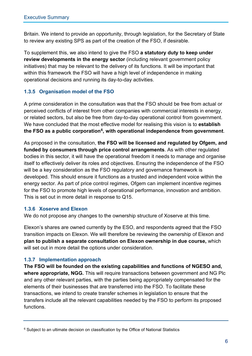Britain. We intend to provide an opportunity, through legislation, for the Secretary of State to review any existing SPS as part of the creation of the FSO, if desirable.

To supplement this, we also intend to give the FSO **a statutory duty to keep under review developments in the energy sector** (including relevant government policy initiatives) that may be relevant to the delivery of its functions. It will be important that within this framework the FSO will have a high level of independence in making operational decisions and running its day-to-day activities.

#### **1.3.5 Organisation model of the FSO**

A prime consideration in the consultation was that the FSO should be free from actual or perceived conflicts of interest from other companies with commercial interests in energy, or related sectors, but also be free from day-to-day operational control from government. We have concluded that the most effective model for realising this vision is to **establish the FSO as a public corporation[6,](#page-12-0) with operational independence from government**.

As proposed in the consultation, **the FSO will be licensed and regulated by Ofgem, and funded by consumers through price control arrangements**. As with other regulated bodies in this sector, it will have the operational freedom it needs to manage and organise itself to effectively deliver its roles and objectives. Ensuring the independence of the FSO will be a key consideration as the FSO regulatory and governance framework is developed. This should ensure it functions as a trusted and independent voice within the energy sector. As part of price control regimes, Ofgem can implement incentive regimes for the FSO to promote high levels of operational performance, innovation and ambition. This is set out in more detail in response to Q15.

#### **1.3.6 Xoserve and Elexon**

We do not propose any changes to the ownership structure of Xoserve at this time.

Elexon's shares are owned currently by the ESO, and respondents agreed that the FSO transition impacts on Elexon. We will therefore be reviewing the ownership of Elexon and **plan to publish a separate consultation on Elexon ownership in due course,** which will set out in more detail the options under consideration.

#### **1.3.7 Implementation approach**

**The FSO will be founded on the existing capabilities and functions of NGESO and, where appropriate, NGG.** This will require transactions between government and NG Plc and any other relevant parties, with the parties being appropriately compensated for the elements of their businesses that are transferred into the FSO. To facilitate these transactions, we intend to create transfer schemes in legislation to ensure that the transfers include all the relevant capabilities needed by the FSO to perform its proposed functions.

<span id="page-12-0"></span><sup>&</sup>lt;sup>6</sup> Subject to an ultimate decision on classification by the Office of National Statistics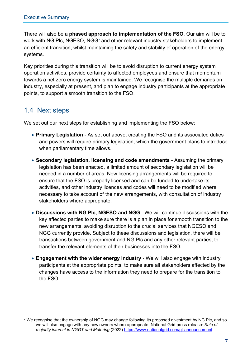There will also be a **phased approach to implementation of the FSO**. Our aim will be to work with NG Plc, NGESO, NGG<sup>[7](#page-13-0)</sup> and other relevant industry stakeholders to implement an efficient transition, whilst maintaining the safety and stability of operation of the energy systems.

Key priorities during this transition will be to avoid disruption to current energy system operation activities, provide certainty to affected employees and ensure that momentum towards a net zero energy system is maintained. We recognise the multiple demands on industry, especially at present, and plan to engage industry participants at the appropriate points, to support a smooth transition to the FSO.

## 1.4 Next steps

We set out our next steps for establishing and implementing the FSO below:

- **Primary Legislation** As set out above, creating the FSO and its associated duties and powers will require primary legislation, which the government plans to introduce when parliamentary time allows.
- **Secondary legislation, licensing and code amendments**  Assuming the primary legislation has been enacted, a limited amount of secondary legislation will be needed in a number of areas. New licensing arrangements will be required to ensure that the FSO is properly licensed and can be funded to undertake its activities, and other industry licences and codes will need to be modified where necessary to take account of the new arrangements, with consultation of industry stakeholders where appropriate.
- **Discussions with NG Plc, NGESO and NGG**  We will continue discussions with the key affected parties to make sure there is a plan in place for smooth transition to the new arrangements, avoiding disruption to the crucial services that NGESO and NGG currently provide. Subject to these discussions and legislation, there will be transactions between government and NG Plc and any other relevant parties, to transfer the relevant elements of their businesses into the FSO.
- **Engagement with the wider energy industry**  We will also engage with industry participants at the appropriate points, to make sure all stakeholders affected by the changes have access to the information they need to prepare for the transition to the FSO.

<span id="page-13-0"></span><sup>7</sup> We recognise that the ownership of NGG may change following its proposed divestment by NG Plc, and so we will also engage with any new owners where appropriate. National Grid press release: *Sale of majority interest in NGGT and Metering* (2022)<https://www.nationalgrid.com/gt-announcement>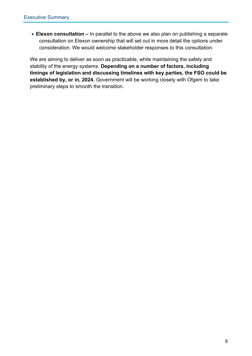• **Elexon consultation –** In parallel to the above we also plan on publishing a separate consultation on Elexon ownership that will set out in more detail the options under consideration. We would welcome stakeholder responses to this consultation.

We are aiming to deliver as soon as practicable, while maintaining the safety and stability of the energy systems. **Depending on a number of factors, including timings of legislation and discussing timelines with key parties, the FSO could be established by, or in, 2024.** Government will be working closely with Ofgem to take preliminary steps to smooth the transition.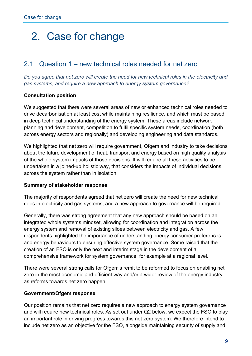## 2. Case for change

### 2.1 Question 1 – new technical roles needed for net zero

*Do you agree that net zero will create the need for new technical roles in the electricity and gas systems, and require a new approach to energy system governance?*

#### **Consultation position**

We suggested that there were several areas of new or enhanced technical roles needed to drive decarbonisation at least cost while maintaining resilience, and which must be based in deep technical understanding of the energy system. These areas include network planning and development, competition to fulfil specific system needs, coordination (both across energy sectors and regionally) and developing engineering and data standards.

We highlighted that net zero will require government, Ofgem and industry to take decisions about the future development of heat, transport and energy based on high quality analysis of the whole system impacts of those decisions. It will require all these activities to be undertaken in a joined-up holistic way, that considers the impacts of individual decisions across the system rather than in isolation.

#### **Summary of stakeholder response**

The majority of respondents agreed that net zero will create the need for new technical roles in electricity and gas systems, and a new approach to governance will be required.

Generally, there was strong agreement that any new approach should be based on an integrated whole systems mindset, allowing for coordination and integration across the energy system and removal of existing siloes between electricity and gas. A few respondents highlighted the importance of understanding energy consumer preferences and energy behaviours to ensuring effective system governance. Some raised that the creation of an FSO is only the next and interim stage in the development of a comprehensive framework for system governance, for example at a regional level.

There were several strong calls for Ofgem's remit to be reformed to focus on enabling net zero in the most economic and efficient way and/or a wider review of the energy industry as reforms towards net zero happen.

#### **Government/Ofgem response**

Our position remains that net zero requires a new approach to energy system governance and will require new technical roles. As set out under Q2 below, we expect the FSO to play an important role in driving progress towards this net zero system. We therefore intend to include net zero as an objective for the FSO, alongside maintaining security of supply and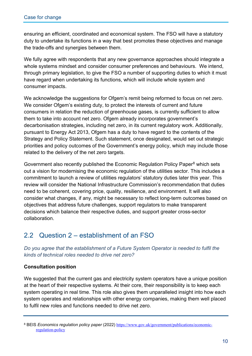ensuring an efficient, coordinated and economical system. The FSO will have a statutory duty to undertake its functions in a way that best promotes these objectives and manage the trade-offs and synergies between them.

We fully agree with respondents that any new governance approaches should integrate a whole systems mindset and consider consumer preferences and behaviours. We intend, through primary legislation, to give the FSO a number of supporting duties to which it must have regard when undertaking its functions, which will include whole system and consumer impacts.

We acknowledge the suggestions for Ofgem's remit being reformed to focus on net zero. We consider Ofgem's existing duty, to protect the interests of current and future consumers in relation the reduction of greenhouse gases, is currently sufficient to allow them to take into account net zero. Ofgem already incorporates government's decarbonisation strategies, including net zero, in its current regulatory work. Additionally, pursuant to Energy Act 2013, Ofgem has a duty to have regard to the contents of the Strategy and Policy Statement. Such statement, once designated, would set out strategic priorities and policy outcomes of the Government's energy policy, which may include those related to the delivery of the net zero targets.

Government also recently published the Economic Regulation Policy Paper<sup>[8](#page-16-0)</sup> which sets out a vision for modernising the economic regulation of the utilities sector. This includes a commitment to launch a review of utilities regulators' statutory duties later this year. This review will consider the National Infrastructure Commission's recommendation that duties need to be coherent, covering price, quality, resilience, and environment. It will also consider what changes, if any, might be necessary to reflect long-term outcomes based on objectives that address future challenges, support regulators to make transparent decisions which balance their respective duties, and support greater cross-sector collaboration.

## 2.2 Question 2 – establishment of an FSO

*Do you agree that the establishment of a Future System Operator is needed to fulfil the kinds of technical roles needed to drive net zero?*

#### **Consultation position**

We suggested that the current gas and electricity system operators have a unique position at the heart of their respective systems. At their core, their responsibility is to keep each system operating in real time. This role also gives them unparalleled insight into how each system operates and relationships with other energy companies, making them well placed to fulfil new roles and functions needed to drive net zero.

<span id="page-16-0"></span><sup>&</sup>lt;sup>8</sup> BEIS *Economics regulation policy paper* (2022) [https://www.gov.uk/government/publications/economic](https://www.gov.uk/government/publications/economic-regulation-policy)[regulation-policy](https://www.gov.uk/government/publications/economic-regulation-policy)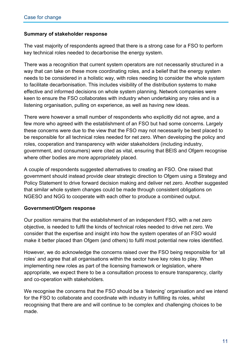#### **Summary of stakeholder response**

The vast majority of respondents agreed that there is a strong case for a FSO to perform key technical roles needed to decarbonise the energy system.

There was a recognition that current system operators are not necessarily structured in a way that can take on these more coordinating roles, and a belief that the energy system needs to be considered in a holistic way, with roles needing to consider the whole system to facilitate decarbonisation. This includes visibility of the distribution systems to make effective and informed decisions on whole system planning. Network companies were keen to ensure the FSO collaborates with industry when undertaking any roles and is a listening organisation, pulling on experience, as well as having new ideas.

There were however a small number of respondents who explicitly did not agree, and a few more who agreed with the establishment of an FSO but had some concerns. Largely these concerns were due to the view that the FSO may not necessarily be best placed to be responsible for all technical roles needed for net zero. When developing the policy and roles, cooperation and transparency with wider stakeholders (including industry, government, and consumers) were cited as vital, ensuring that BEIS and Ofgem recognise where other bodies are more appropriately placed.

A couple of respondents suggested alternatives to creating an FSO. One raised that government should instead provide clear strategic direction to Ofgem using a Strategy and Policy Statement to drive forward decision making and deliver net zero. Another suggested that similar whole system changes could be made through consistent obligations on NGESO and NGG to cooperate with each other to produce a combined output.

#### **Government/Ofgem response**

Our position remains that the establishment of an independent FSO, with a net zero objective, is needed to fulfil the kinds of technical roles needed to drive net zero. We consider that the expertise and insight into how the system operates of an FSO would make it better placed than Ofgem (and others) to fulfil most potential new roles identified.

However, we do acknowledge the concerns raised over the FSO being responsible for 'all roles' and agree that all organisations within the sector have key roles to play. When implementing new roles as part of the licensing framework or legislation, where appropriate, we expect there to be a consultation process to ensure transparency, clarity and co-operation with stakeholders.

We recognise the concerns that the FSO should be a 'listening' organisation and we intend for the FSO to collaborate and coordinate with industry in fulfilling its roles, whilst recognising that there are and will continue to be complex and challenging choices to be made.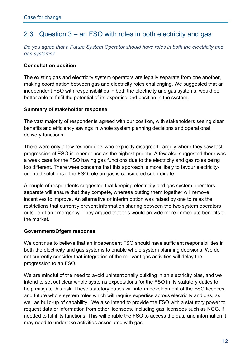## 2.3 Question 3 – an FSO with roles in both electricity and gas

*Do you agree that a Future System Operator should have roles in both the electricity and gas systems?* 

#### **Consultation position**

The existing gas and electricity system operators are legally separate from one another, making coordination between gas and electricity roles challenging. We suggested that an independent FSO with responsibilities in both the electricity and gas systems, would be better able to fulfil the potential of its expertise and position in the system.

#### **Summary of stakeholder response**

The vast majority of respondents agreed with our position, with stakeholders seeing clear benefits and efficiency savings in whole system planning decisions and operational delivery functions.

There were only a few respondents who explicitly disagreed, largely where they saw fast progression of ESO independence as the highest priority. A few also suggested there was a weak case for the FSO having gas functions due to the electricity and gas roles being too different. There were concerns that this approach is more likely to favour electricityoriented solutions if the FSO role on gas is considered subordinate.

A couple of respondents suggested that keeping electricity and gas system operators separate will ensure that they compete, whereas putting them together will remove incentives to improve. An alternative or interim option was raised by one to relax the restrictions that currently prevent information sharing between the two system operators outside of an emergency. They argued that this would provide more immediate benefits to the market.

#### **Government/Ofgem response**

We continue to believe that an independent FSO should have sufficient responsibilities in both the electricity and gas systems to enable whole system planning decisions. We do not currently consider that integration of the relevant gas activities will delay the progression to an FSO.

We are mindful of the need to avoid unintentionally building in an electricity bias, and we intend to set out clear whole systems expectations for the FSO in its statutory duties to help mitigate this risk. These statutory duties will inform development of the FSO licences, and future whole system roles which will require expertise across electricity and gas, as well as build-up of capability. We also intend to provide the FSO with a statutory power to request data or information from other licensees, including gas licensees such as NGG, if needed to fulfil its functions. This will enable the FSO to access the data and information it may need to undertake activities associated with gas.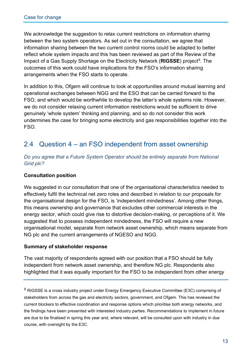We acknowledge the suggestion to relax current restrictions on information sharing between the two system operators. As set out in the consultation, we agree that information sharing between the two current control rooms could be adapted to better reflect whole system impacts and this has been reviewed as part of the Review of the Impact of a Gas Supply Shortage on the Electricity Network (**RIGSSE**) project<sup>[9](#page-19-0)</sup>. The outcomes of this work could have implications for the FSO's information sharing arrangements when the FSO starts to operate.

In addition to this, Ofgem will continue to look at opportunities around mutual learning and operational exchanges between NGG and the ESO that can be carried forward to the FSO, and which would be worthwhile to develop the latter's whole systems role. However, we do not consider relaxing current information restrictions would be sufficient to drive genuinely 'whole system' thinking and planning, and so do not consider this work undermines the case for bringing some electricity and gas responsibilities together into the FSO.

## 2.4 Question 4 – an FSO independent from asset ownership

*Do you agree that a Future System Operator should be entirely separate from National Grid plc?*

#### **Consultation position**

We suggested in our consultation that one of the organisational characteristics needed to effectively fulfil the technical net zero roles and described in relation to our proposals for the organisational design for the FSO, is 'independent mindedness'. Among other things, this means ownership and governance that excludes other commercial interests in the energy sector, which could give rise to distortive decision-making, or perceptions of it. We suggested that to possess independent mindedness, the FSO will require a new organisational model, separate from network asset ownership, which means separate from NG plc and the current arrangements of NGESO and NGG.

#### **Summary of stakeholder response**

The vast majority of respondents agreed with our position that a FSO should be fully independent from network asset ownership, and therefore NG plc. Respondents also highlighted that it was equally important for the FSO to be independent from other energy

<span id="page-19-0"></span> $9$  RIGSSE is a cross industry project under Energy Emergency Executive Committee (E3C) comprising of stakeholders from across the gas and electricity sectors, government, and Ofgem. This has reviewed the current blockers to effective coordination and response options which prioritise both energy networks, and the findings have been presented with interested industry parties. Recommendations to implement in future are due to be finalised in spring this year and, where relevant, will be consulted upon with industry in due course, with oversight by the E3C.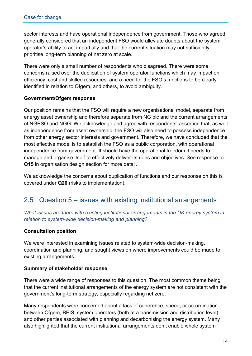sector interests and have operational independence from government. Those who agreed generally considered that an independent FSO would alleviate doubts about the system operator's ability to act impartially and that the current situation may not sufficiently prioritise long-term planning of net zero at scale.

There were only a small number of respondents who disagreed. There were some concerns raised over the duplication of system operator functions which may impact on efficiency, cost and skilled resources, and a need for the FSO's functions to be clearly identified in relation to Ofgem, and others, to avoid ambiguity.

#### **Government/Ofgem response**

Our position remains that the FSO will require a new organisational model, separate from energy asset ownership and therefore separate from NG plc and the current arrangements of NGESO and NGG. We acknowledge and agree with respondents' assertion that, as well as independence from asset ownership, the FSO will also need to possess independence from other energy sector interests and government. Therefore, we have concluded that the most effective model is to establish the FSO as a public corporation, with operational independence from government. It should have the operational freedom it needs to manage and organise itself to effectively deliver its roles and objectives. See response to **Q15** in organisation design section for more detail.

We acknowledge the concerns about duplication of functions and our response on this is covered under **Q20** (risks to implementation).

### 2.5 Question 5 – issues with existing institutional arrangements

*What issues are there with existing institutional arrangements in the UK energy system in relation to system-wide decision-making and planning?* 

#### **Consultation position**

We were interested in examining issues related to system-wide decision-making, coordination and planning, and sought views on where improvements could be made to existing arrangements.

#### **Summary of stakeholder response**

There were a wide range of responses to this question. The most common theme being that the current institutional arrangements of the energy system are not consistent with the government's long-term strategy, especially regarding net zero.

Many respondents were concerned about a lack of coherence, speed, or co-ordination between Ofgem, BEIS, system operators (both at a transmission and distribution level) and other parties associated with planning and decarbonising the energy system. Many also highlighted that the current institutional arrangements don't enable whole system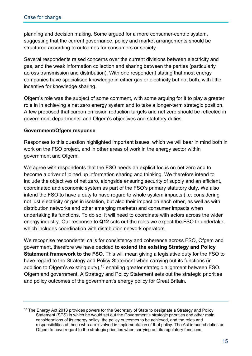planning and decision making. Some argued for a more consumer-centric system, suggesting that the current governance, policy and market arrangements should be structured according to outcomes for consumers or society.

Several respondents raised concerns over the current divisions between electricity and gas, and the weak information collection and sharing between the parties (particularly across transmission and distribution). With one respondent stating that most energy companies have specialised knowledge in either gas or electricity but not both, with little incentive for knowledge sharing.

Ofgem's role was the subject of some comment, with some arguing for it to play a greater role in in achieving a net zero energy system and to take a longer-term strategic position. A few proposed that carbon emission reduction targets and net zero should be reflected in government departments' and Ofgem's objectives and statutory duties.

#### **Government/Ofgem response**

Responses to this question highlighted important issues, which we will bear in mind both in work on the FSO project, and in other areas of work in the energy sector within government and Ofgem.

We agree with respondents that the FSO needs an explicit focus on net zero and to become a driver of joined up information sharing and thinking. We therefore intend to include the objectives of net zero, alongside ensuring security of supply and an efficient, coordinated and economic system as part of the FSO's primary statutory duty. We also intend the FSO to have a duty to have regard to whole system impacts (i.e. considering not just electricity or gas in isolation, but also their impact on each other, as well as with distribution networks and other emerging markets) and consumer impacts when undertaking its functions. To do so, it will need to coordinate with actors across the wider energy industry. Our response to **Q12** sets out the roles we expect the FSO to undertake, which includes coordination with distribution network operators.

We recognise respondents' calls for consistency and coherence across FSO, Ofgem and government, therefore we have decided **to extend the existing Strategy and Policy Statement framework to the FSO**. This will mean giving a legislative duty for the FSO to have regard to the Strategy and Policy Statement when carrying out its functions (in addition to Ofgem's existing duty),<sup>[10](#page-21-0)</sup> enabling greater strategic alignment between FSO, Ofgem and government. A Strategy and Policy Statement sets out the strategic priorities and policy outcomes of the government's energy policy for Great Britain.

<span id="page-21-0"></span><sup>&</sup>lt;sup>10</sup> The Energy Act 2013 provides powers for the Secretary of State to designate a Strategy and Policy Statement (SPS) in which he would set out the Government's strategic priorities and other main considerations of its energy policy, the policy outcomes to be achieved, and the roles and responsibilities of those who are involved in implementation of that policy. The Act imposed duties on Ofgem to have regard to the strategic priorities when carrying out its regulatory functions.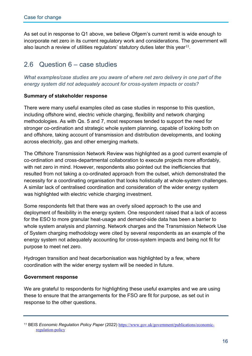As set out in response to Q1 above, we believe Ofgem's current remit is wide enough to incorporate net zero in its current regulatory work and considerations. The government will also launch a review of utilities regulators' statutory duties later this year $^{11}$  $^{11}$  $^{11}$ .

## 2.6 Question 6 – case studies

*What examples/case studies are you aware of where net zero delivery in one part of the energy system did not adequately account for cross-system impacts or costs?* 

#### **Summary of stakeholder response**

There were many useful examples cited as case studies in response to this question, including offshore wind, electric vehicle charging, flexibility and network charging methodologies. As with Qs. 5 and 7, most responses tended to support the need for stronger co-ordination and strategic whole system planning, capable of looking both on and offshore, taking account of transmission and distribution developments, and looking across electricity, gas and other emerging markets.

The Offshore Transmission Network Review was highlighted as a good current example of co-ordination and cross-departmental collaboration to execute projects more affordably, with net zero in mind. However, respondents also pointed out the inefficiencies that resulted from not taking a co-ordinated approach from the outset, which demonstrated the necessity for a coordinating organisation that looks holistically at whole-system challenges. A similar lack of centralised coordination and consideration of the wider energy system was highlighted with electric vehicle charging investment.

Some respondents felt that there was an overly siloed approach to the use and deployment of flexibility in the energy system. One respondent raised that a lack of access for the ESO to more granular heat-usage and demand-side data has been a barrier to whole system analysis and planning. Network charges and the Transmission Network Use of System charging methodology were cited by several respondents as an example of the energy system not adequately accounting for cross-system impacts and being not fit for purpose to meet net zero.

Hydrogen transition and heat decarbonisation was highlighted by a few, where coordination with the wider energy system will be needed in future.

#### **Government response**

We are grateful to respondents for highlighting these useful examples and we are using these to ensure that the arrangements for the FSO are fit for purpose, as set out in response to the other questions.

<span id="page-22-0"></span><sup>11</sup> BEIS *Economic Regulation Policy Paper* (2022) [https://www.gov.uk/government/publications/economic](https://www.gov.uk/government/publications/economic-regulation-policy)[regulation-policy](https://www.gov.uk/government/publications/economic-regulation-policy)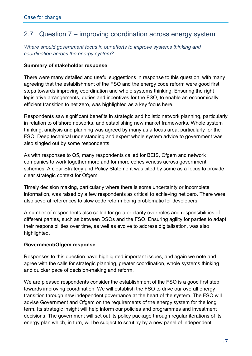## 2.7 Question 7 – improving coordination across energy system

*Where should government focus in our efforts to improve systems thinking and coordination across the energy system?* 

#### **Summary of stakeholder response**

There were many detailed and useful suggestions in response to this question, with many agreeing that the establishment of the FSO and the energy code reform were good first steps towards improving coordination and whole systems thinking. Ensuring the right legislative arrangements, duties and incentives for the FSO, to enable an economically efficient transition to net zero, was highlighted as a key focus here.

Respondents saw significant benefits in strategic and holistic network planning, particularly in relation to offshore networks, and establishing new market frameworks. Whole system thinking, analysis and planning was agreed by many as a focus area, particularly for the FSO. Deep technical understanding and expert whole system advice to government was also singled out by some respondents.

As with responses to Q5, many respondents called for BEIS, Ofgem and network companies to work together more and for more cohesiveness across government schemes. A clear Strategy and Policy Statement was cited by some as a focus to provide clear strategic context for Ofgem.

Timely decision making, particularly where there is some uncertainty or incomplete information, was raised by a few respondents as critical to achieving net zero. There were also several references to slow code reform being problematic for developers.

A number of respondents also called for greater clarity over roles and responsibilities of different parties, such as between DSOs and the FSO. Ensuring agility for parties to adapt their responsibilities over time, as well as evolve to address digitalisation, was also highlighted.

#### **Government/Ofgem response**

Responses to this question have highlighted important issues, and again we note and agree with the calls for strategic planning, greater coordination, whole systems thinking and quicker pace of decision-making and reform.

We are pleased respondents consider the establishment of the FSO is a good first step towards improving coordination. We will establish the FSO to drive our overall energy transition through new independent governance at the heart of the system. The FSO will advise Government and Ofgem on the requirements of the energy system for the long term. Its strategic insight will help inform our policies and programmes and investment decisions. The government will set out its policy package through regular iterations of its energy plan which, in turn, will be subject to scrutiny by a new panel of independent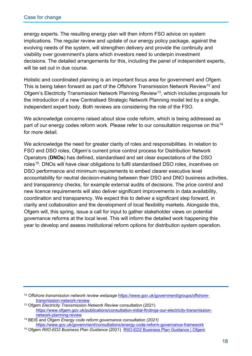energy experts. The resulting energy plan will then inform FSO advice on system implications. The regular review and update of our energy policy package, against the evolving needs of the system, will strengthen delivery and provide the continuity and visibility over government's plans which investors need to underpin investment decisions. The detailed arrangements for this, including the panel of independent experts, will be set out in due course.

Holistic and coordinated planning is an important focus area for government and Ofgem. This is being taken forward as part of the Offshore Transmission Network Review<sup>[12](#page-24-0)</sup> and Ofgem's Electricity Transmission Network Planning Review<sup>[13](#page-24-1)</sup>, which includes proposals for the introduction of a new Centralised Strategic Network Planning model led by a single, independent expert body. Both reviews are considering the role of the FSO.

We acknowledge concerns raised about slow code reform, which is being addressed as part of our energy codes reform work. Please refer to our consultation response on this<sup>[14](#page-24-2)</sup> for more detail.

We acknowledge the need for greater clarity of roles and responsibilities. In relation to FSO and DSO roles, Ofgem's current price control process for Distribution Network Operators (**DNOs**) has defined, standardised and set clear expectations of the DSO roles<sup>[15](#page-24-3)</sup>. DNOs will have clear obligations to fulfil standardised DSO roles, incentives on DSO performance and minimum requirements to embed clearer executive level accountability for neutral decision-making between their DSO and DNO business activities, and transparency checks, for example external audits of decisions. The price control and new licence requirements will also deliver significant improvements in data availability, coordination and transparency. We expect this to deliver a significant step forward, in clarity and collaboration and the development of local flexibility markets. Alongside this, Ofgem will, this spring, issue a call for input to gather stakeholder views on potential governance reforms at the local level. This will inform the detailed work happening this year to develop and assess institutional reform options for distribution system operation.

<span id="page-24-0"></span><sup>12</sup> *Offshore transmission network review webpage* [https://www.gov.uk/government/groups/offshore-](https://www.gov.uk/government/groups/offshore-transmission-network-review)

<span id="page-24-1"></span><sup>&</sup>lt;sup>13</sup> Ofgem Electricity Transmission Network Review consultation (2021) [https://www.ofgem.gov.uk/publications/consultation-initial-findings-our-electricity-transmission](https://www.ofgem.gov.uk/publications/consultation-initial-findings-our-electricity-transmission-network-planning-review)[network-planning-review](https://www.ofgem.gov.uk/publications/consultation-initial-findings-our-electricity-transmission-network-planning-review) 14 BEIS and Ofgem *Energy code reform governance consultation (2021)* 

<span id="page-24-2"></span><https://www.gov.uk/government/consultations/energy-code-reform-governance-framework>

<span id="page-24-3"></span><sup>15</sup> Ofgem *RIIO-ED2 Business Plan Guidance* (2021) [RIIO-ED2 Business Plan Guidance | Ofgem](https://www.ofgem.gov.uk/publications/riio-ed2-business-plan-guidance)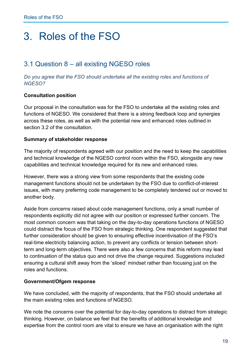## 3. Roles of the FSO

## 3.1 Question 8 – all existing NGESO roles

*Do you agree that the FSO should undertake all the existing roles and functions of NGESO?* 

#### **Consultation position**

Our proposal in the consultation was for the FSO to undertake all the existing roles and functions of NGESO. We considered that there is a strong feedback loop and synergies across these roles, as well as with the potential new and enhanced roles outlined in section 3.2 of the consultation.

#### **Summary of stakeholder response**

The majority of respondents agreed with our position and the need to keep the capabilities and technical knowledge of the NGESO control room within the FSO, alongside any new capabilities and technical knowledge required for its new and enhanced roles.

However, there was a strong view from some respondents that the existing code management functions should not be undertaken by the FSO due to conflict-of-interest issues, with many preferring code management to be completely tendered out or moved to another body.

Aside from concerns raised about code management functions, only a small number of respondents explicitly did not agree with our position or expressed further concern. The most common concern was that taking on the day-to-day operations functions of NGESO could distract the focus of the FSO from strategic thinking. One respondent suggested that further consideration should be given to ensuring effective incentivisation of the FSO's real-time electricity balancing action, to prevent any conflicts or tension between shortterm and long-term objectives. There were also a few concerns that this reform may lead to continuation of the status quo and not drive the change required. Suggestions included ensuring a cultural shift away from the 'siloed' mindset rather than focusing just on the roles and functions.

#### **Government/Ofgem response**

We have concluded, with the majority of respondents, that the FSO should undertake all the main existing roles and functions of NGESO.

We note the concerns over the potential for day-to-day operations to distract from strategic thinking. However, on balance we feel that the benefits of additional knowledge and expertise from the control room are vital to ensure we have an organisation with the right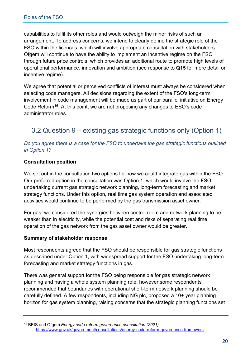capabilities to fulfil its other roles and would outweigh the minor risks of such an arrangement. To address concerns, we intend to clearly define the strategic role of the FSO within the licences, which will involve appropriate consultation with stakeholders. Ofgem will continue to have the ability to implement an incentive regime on the FSO through future price controls, which provides an additional route to promote high levels of operational performance, innovation and ambition (see response to **Q15** for more detail on incentive regime).

We agree that potential or perceived conflicts of interest must always be considered when selecting code managers. All decisions regarding the extent of the FSO's long-term involvement in code management will be made as part of our parallel initiative on Energy Code Reform<sup>[16](#page-26-0)</sup>. At this point, we are not proposing any changes to ESO's code administrator roles.

## 3.2 Question 9 – existing gas strategic functions only (Option 1)

#### *Do you agree there is a case for the FSO to undertake the gas strategic functions outlined in Option 1?*

#### **Consultation position**

We set out in the consultation two options for how we could integrate gas within the FSO. Our preferred option in the consultation was Option 1, which would involve the FSO undertaking current gas strategic network planning, long-term forecasting and market strategy functions. Under this option, real time gas system operation and associated activities would continue to be performed by the gas transmission asset owner.

For gas, we considered the synergies between control room and network planning to be weaker than in electricity, while the potential cost and risks of separating real time operation of the gas network from the gas asset owner would be greater.

#### **Summary of stakeholder response**

Most respondents agreed that the FSO should be responsible for gas strategic functions as described under Option 1, with widespread support for the FSO undertaking long-term forecasting and market strategy functions in gas.

There was general support for the FSO being responsible for gas strategic network planning and having a whole system planning role, however some respondents recommended that boundaries with operational short-term network planning should be carefully defined. A few respondents, including NG plc, proposed a 10+ year planning horizon for gas system planning, raising concerns that the strategic planning functions set

<span id="page-26-0"></span><sup>16</sup> BEIS and Ofgem *Energy code reform governance consultation (2021)*  <https://www.gov.uk/government/consultations/energy-code-reform-governance-framework>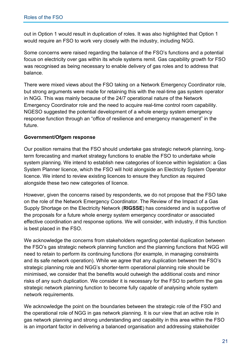out in Option 1 would result in duplication of roles. It was also highlighted that Option 1 would require an FSO to work very closely with the industry, including NGG.

Some concerns were raised regarding the balance of the FSO's functions and a potential focus on electricity over gas within its whole systems remit. Gas capability growth for FSO was recognised as being necessary to enable delivery of gas roles and to address that balance.

There were mixed views about the FSO taking on a Network Emergency Coordinator role, but strong arguments were made for retaining this with the real-time gas system operator in NGG. This was mainly because of the 24/7 operational nature of the Network Emergency Coordinator role and the need to acquire real-time control room capability. NGESO suggested the potential development of a whole energy system emergency response function through an "office of resilience and emergency management" in the future.

#### **Government/Ofgem response**

Our position remains that the FSO should undertake gas strategic network planning, longterm forecasting and market strategy functions to enable the FSO to undertake whole system planning. We intend to establish new categories of licence within legislation: a Gas System Planner licence, which the FSO will hold alongside an Electricity System Operator licence. We intend to review existing licences to ensure they function as required alongside these two new categories of licence.

However, given the concerns raised by respondents, we do not propose that the FSO take on the role of the Network Emergency Coordinator. The Review of the Impact of a Gas Supply Shortage on the Electricity Network (**RIGSSE**) has considered and is supportive of the proposals for a future whole energy system emergency coordinator or associated effective coordination and response options. We will consider, with industry, if this function is best placed in the FSO.

We acknowledge the concerns from stakeholders regarding potential duplication between the FSO's gas strategic network planning function and the planning functions that NGG will need to retain to perform its continuing functions (for example, in managing constraints and its safe network operation). While we agree that any duplication between the FSO's strategic planning role and NGG's shorter-term operational planning role should be minimised, we consider that the benefits would outweigh the additional costs and minor risks of any such duplication. We consider it is necessary for the FSO to perform the gas strategic network planning function to become fully capable of analysing whole system network requirements.

We acknowledge the point on the boundaries between the strategic role of the FSO and the operational role of NGG in gas network planning. It is our view that an active role in gas network planning and strong understanding and capability in this area within the FSO is an important factor in delivering a balanced organisation and addressing stakeholder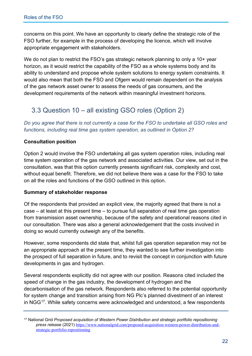concerns on this point. We have an opportunity to clearly define the strategic role of the FSO further, for example in the process of developing the licence, which will involve appropriate engagement with stakeholders.

We do not plan to restrict the FSO's gas strategic network planning to only a 10+ year horizon, as it would restrict the capability of the FSO as a whole systems body and its ability to understand and propose whole system solutions to energy system constraints. It would also mean that both the FSO and Ofgem would remain dependent on the analysis of the gas network asset owner to assess the needs of gas consumers, and the development requirements of the network within meaningful investment horizons.

## 3.3 Question 10 – all existing GSO roles (Option 2)

*Do you agree that there is not currently a case for the FSO to undertake all GSO roles and functions, including real time gas system operation, as outlined in Option 2?* 

#### **Consultation position**

Option 2 would involve the FSO undertaking all gas system operation roles, including real time system operation of the gas network and associated activities. Our view, set out in the consultation, was that this option currently presents significant risk, complexity and cost, without equal benefit. Therefore, we did not believe there was a case for the FSO to take on all the roles and functions of the GSO outlined in this option.

#### **Summary of stakeholder response**

Of the respondents that provided an explicit view, the majority agreed that there is not a case – at least at this present time – to pursue full separation of real time gas operation from transmission asset ownership, because of the safety and operational reasons cited in our consultation. There was also a general acknowledgement that the costs involved in doing so would currently outweigh any of the benefits.

However, some respondents did state that, whilst full gas operation separation may not be an appropriate approach at the present time, they wanted to see further investigation into the prospect of full separation in future, and to revisit the concept in conjunction with future developments in gas and hydrogen.

Several respondents explicitly did not agree with our position. Reasons cited included the speed of change in the gas industry, the development of hydrogen and the decarbonisation of the gas network. Respondents also referred to the potential opportunity for system change and transition arising from NG Plc's planned divestment of an interest in NGG<sup>[17](#page-28-0)</sup>. While safety concerns were acknowledged and understood, a few respondents

<span id="page-28-0"></span><sup>17</sup> National Grid *Proposed acquisition of Western Power Distribution and strategic portfolio repositioning press release* (2021) [https://www.nationalgrid.com/proposed-acquisition-western-power-distribution-and](https://www.nationalgrid.com/proposed-acquisition-western-power-distribution-and-strategic-portfolio-repositioning)[strategic-portfolio-repositioning](https://www.nationalgrid.com/proposed-acquisition-western-power-distribution-and-strategic-portfolio-repositioning)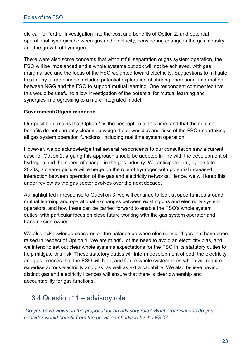did call for further investigation into the cost and benefits of Option 2, and potential operational synergies between gas and electricity, considering change in the gas industry and the growth of hydrogen.

There were also some concerns that without full separation of gas system operation, the FSO will be imbalanced and a whole systems outlook will not be achieved, with gas marginalised and the focus of the FSO weighted toward electricity. Suggestions to mitigate this in any future change included potential exploration of sharing operational information between NGG and the FSO to support mutual learning. One respondent commented that this would be useful to allow investigation of the potential for mutual learning and synergies in progressing to a more integrated model.

#### **Government/Ofgem response**

Our position remains that Option 1 is the best option at this time, and that the minimal benefits do not currently clearly outweigh the downsides and risks of the FSO undertaking all gas system operation functions, including real time system operation.

However, we do acknowledge that several respondents to our consultation saw a current case for Option 2, arguing this approach should be adopted in line with the development of hydrogen and the speed of change in the gas industry. We anticipate that, by the late 2020s, a clearer picture will emerge on the role of hydrogen with potential increased interaction between operation of the gas and electricity networks. Hence, we will keep this under review as the gas sector evolves over the next decade.

As highlighted in response to Question 3, we will continue to look at opportunities around mutual learning and operational exchanges between existing gas and electricity system operators, and how these can be carried forward to enable the FSO's whole system duties, with particular focus on close future working with the gas system operator and transmission owner.

We also acknowledge concerns on the balance between electricity and gas that have been raised in respect of Option 1. We are mindful of the need to avoid an electricity bias, and we intend to set out clear whole systems expectations for the FSO in its statutory duties to help mitigate this risk. These statutory duties will inform development of both the electricity and gas licences that the FSO will hold, and future whole system roles which will require expertise across electricity and gas, as well as extra capability. We also believe having distinct gas and electricity licences will ensure that there is clear ownership and accountability for gas functions.

## 3.4 Question 11 – advisory role

*Do you have views on the proposal for an advisory role? What organisations do you consider would benefit from the provision of advice by the FSO?*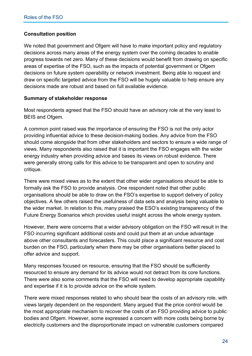#### **Consultation position**

We noted that government and Ofgem will have to make important policy and regulatory decisions across many areas of the energy system over the coming decades to enable progress towards net zero. Many of these decisions would benefit from drawing on specific areas of expertise of the FSO, such as the impacts of potential government or Ofgem decisions on future system operability or network investment. Being able to request and draw on specific targeted advice from the FSO will be hugely valuable to help ensure any decisions made are robust and based on full available evidence.

#### **Summary of stakeholder response**

Most respondents agreed that the FSO should have an advisory role at the very least to BEIS and Ofgem.

A common point raised was the importance of ensuring the FSO is not the only actor providing influential advice to these decision-making bodies. Any advice from the FSO should come alongside that from other stakeholders and sectors to ensure a wide range of views. Many respondents also raised that it is important the FSO engages with the wider energy industry when providing advice and bases its views on robust evidence. There were generally strong calls for this advice to be transparent and open to scrutiny and critique.

There were mixed views as to the extent that other wider organisations should be able to formally ask the FSO to provide analysis. One respondent noted that other public organisations should be able to draw on the FSO's expertise to support delivery of policy objectives. A few others raised the usefulness of data sets and analysis being valuable to the wider market. In relation to this, many praised the ESO's existing transparency of the Future Energy Scenarios which provides useful insight across the whole energy system.

However, there were concerns that a wider advisory obligation on the FSO will result in the FSO incurring significant additional costs and could put them at an undue advantage above other consultants and forecasters. This could place a significant resource and cost burden on the FSO, particularly when there may be other organisations better placed to offer advice and support.

Many responses focused on resource, ensuring that the FSO should be sufficiently resourced to ensure any demand for its advice would not detract from its core functions. There were also some comments that the FSO will need to develop appropriate capability and expertise if it is to provide advice on the whole system.

There were mixed responses related to who should bear the costs of an advisory role, with views largely dependent on the respondent. Many argued that the price control would be the most appropriate mechanism to recover the costs of an FSO providing advice to public bodies and Ofgem. However, some expressed a concern with more costs being borne by electricity customers and the disproportionate impact on vulnerable customers compared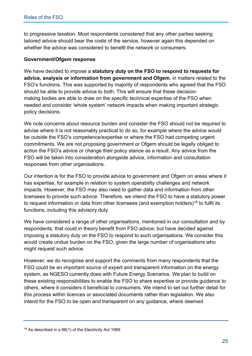to progressive taxation. Most respondents considered that any other parties seeking tailored advice should bear the costs of the service, however again this depended on whether the advice was considered to benefit the network or consumers.

#### **Government/Ofgem response**

We have decided to impose a **statutory duty on the FSO to respond to requests for advice, analysis or information from government and Ofgem**, in matters related to the FSO's functions. This was supported by majority of respondents who agreed that the FSO should be able to provide advice to both. This will ensure that these decisionmaking bodies are able to draw on the specific technical expertise of the FSO when needed and consider 'whole system' network impacts when making important strategic policy decisions.

We note concerns about resource burden and consider the FSO should not be required to advise where it is not reasonably practical to do so, for example where the advice would be outside the FSO's competence/expertise or where the FSO had competing urgent commitments. We are not proposing government or Ofgem should be legally obliged to action the FSO's advice or change their policy stance as a result. Any advice from the FSO will be taken into consideration alongside advice, information and consultation responses from other organisations.

Our intention is for the FSO to provide advice to government and Ofgem on areas where it has expertise, for example in relation to system operability challenges and network impacts. However, the FSO may also need to gather data and information from other licensees to provide such advice. Therefore, we intend the FSO to have a statutory power to request information or data from other licensees (and exemption holders)<sup>[18](#page-31-0)</sup> to fulfil its functions, including this advisory duty.

We have considered a range of other organisations, mentioned in our consultation and by respondents, that could in theory benefit from FSO advice; but have decided against imposing a statutory duty on the FSO to respond to such organisations. We consider this would create undue burden on the FSO, given the large number of organisations who might request such advice.

However, we do recognise and support the comments from many respondents that the FSO could be an important source of expert and transparent information on the energy system, as NGESO currently does with Future Energy Scenarios. We plan to build on these existing responsibilities to enable the FSO to share expertise or provide guidance to others, where it considers it beneficial to consumers. We intend to set out further detail for this process within licences or associated documents rather than legislation. We also intend for the FSO to be open and transparent on any guidance, where deemed

<span id="page-31-0"></span><sup>18</sup> As described in s.98(1) of the Electricity Act 1989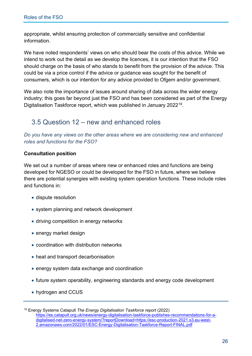appropriate, whilst ensuring protection of commercially sensitive and confidential information.

We have noted respondents' views on who should bear the costs of this advice. While we intend to work out the detail as we develop the licences, it is our intention that the FSO should charge on the basis of who stands to benefit from the provision of the advice. This could be via a price control if the advice or guidance was sought for the benefit of consumers, which is our intention for any advice provided to Ofgem and/or government.

We also note the importance of issues around sharing of data across the wider energy industry; this goes far beyond just the FSO and has been considered as part of the Energy Digitalisation Taskforce report, which was published in January 2022[19](#page-32-0).

### 3.5 Question 12 – new and enhanced roles

*Do you have any views on the other areas where we are considering new and enhanced roles and functions for the FSO?* 

#### **Consultation position**

We set out a number of areas where new or enhanced roles and functions are being developed for NGESO or could be developed for the FSO in future, where we believe there are potential synergies with existing system operation functions. These include roles and functions in:

- dispute resolution
- system planning and network development
- driving competition in energy networks
- energy market design
- coordination with distribution networks
- heat and transport decarbonisation
- energy system data exchange and coordination
- future system operability, engineering standards and energy code development
- hydrogen and CCUS

<span id="page-32-0"></span><sup>19</sup> Energy Systems Catapult *The Energy Digitalisation Taskforce report* (2022) [https://es.catapult.org.uk/news/energy-digitalisation-taskforce-publishes-recommendations-for-a](https://es.catapult.org.uk/news/energy-digitalisation-taskforce-publishes-recommendations-for-a-digitalised-net-zero-energy-system/?reportDownload=https://esc-production-2021.s3.eu-west-2.amazonaws.com/2022/01/ESC-Energy-Digitalisation-Taskforce-Report-FINAL.pdf)[digitalised-net-zero-energy-system/?reportDownload=https://esc-production-2021.s3.eu-west-](https://es.catapult.org.uk/news/energy-digitalisation-taskforce-publishes-recommendations-for-a-digitalised-net-zero-energy-system/?reportDownload=https://esc-production-2021.s3.eu-west-2.amazonaws.com/2022/01/ESC-Energy-Digitalisation-Taskforce-Report-FINAL.pdf)[2.amazonaws.com/2022/01/ESC-Energy-Digitalisation-Taskforce-Report-FINAL.pdf](https://es.catapult.org.uk/news/energy-digitalisation-taskforce-publishes-recommendations-for-a-digitalised-net-zero-energy-system/?reportDownload=https://esc-production-2021.s3.eu-west-2.amazonaws.com/2022/01/ESC-Energy-Digitalisation-Taskforce-Report-FINAL.pdf)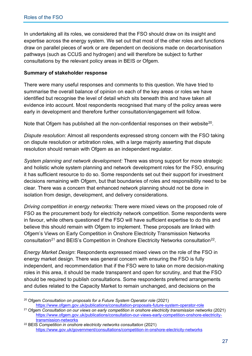In undertaking all its roles, we considered that the FSO should draw on its insight and expertise across the energy system. We set out that most of the other roles and functions draw on parallel pieces of work or are dependent on decisions made on decarbonisation pathways (such as CCUS and hydrogen) and will therefore be subject to further consultations by the relevant policy areas in BEIS or Ofgem.

#### **Summary of stakeholder response**

There were many useful responses and comments to this question. We have tried to summarise the overall balance of opinion on each of the key areas or roles we have identified but recognise the level of detail which sits beneath this and have taken all evidence into account. Most respondents recognised that many of the policy areas were early in development and therefore further consultation/engagement will follow.

Note that Ofgem has published all the non-confidential responses on their website<sup>[20](#page-33-0)</sup>.

*Dispute resolution:* Almost all respondents expressed strong concern with the FSO taking on dispute resolution or arbitration roles, with a large majority asserting that dispute resolution should remain with Ofgem as an independent regulator.

*System planning and network development:* There was strong support for more strategic and holistic whole system planning and network development roles for the FSO, ensuring it has sufficient resource to do so. Some respondents set out their support for investment decisions remaining with Ofgem, but that boundaries of roles and responsibility need to be clear. There was a concern that enhanced network planning should not be done in isolation from design, development, and delivery considerations.

*Driving competition in energy networks:* There were mixed views on the proposed role of FSO as the procurement body for electricity network competition. Some respondents were in favour, while others questioned if the FSO will have sufficient expertise to do this and believe this should remain with Ofgem to implement. These proposals are linked with Ofgem's Views on Early Competition in Onshore Electricity Transmission Networks consultation<sup>[21](#page-33-1)</sup> and BEIS's Competition in Onshore Electricity Networks consultation<sup>[22](#page-33-2)</sup>.

*Energy Market Design*: Respondents expressed mixed views on the role of the FSO in energy market design. There was general concern with ensuring the FSO is fully independent, and recommendation that if the FSO were to take on more decision-making roles in this area, it should be made transparent and open for scrutiny, and that the FSO should be required to publish consultations. Some respondents preferred arrangements and duties related to the Capacity Market to remain unchanged, and decisions on the

<span id="page-33-0"></span><sup>&</sup>lt;sup>20</sup> Ofgem *Consultation on proposals for a Future System Operator role* (2021)

<span id="page-33-1"></span><https://www.ofgem.gov.uk/publications/consultation-proposals-future-system-operator-role>21 Ofgem *Consultation on our views on early competition in onshore electricity transmission networks* (2021) [https://www.ofgem.gov.uk/publications/consultation-our-views-early-competition-onshore-electricity](https://www.ofgem.gov.uk/publications/consultation-our-views-early-competition-onshore-electricity-transmission-networks)[transmission-networks](https://www.ofgem.gov.uk/publications/consultation-our-views-early-competition-onshore-electricity-transmission-networks)

<span id="page-33-2"></span><sup>&</sup>lt;sup>22</sup> BEIS Competition in onshore electricity networks consultation (2021) <https://www.gov.uk/government/consultations/competition-in-onshore-electricity-networks>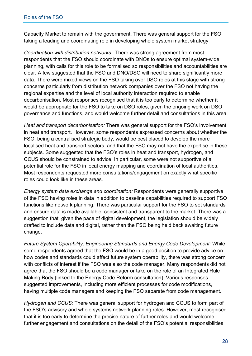Capacity Market to remain with the government. There was general support for the FSO taking a leading and coordinating role in developing whole system market strategy.

*Coordination with distribution networks:* There was strong agreement from most respondents that the FSO should coordinate with DNOs to ensure optimal system-wide planning, with calls for this role to be formalised so responsibilities and accountabilities are clear. A few suggested that the FSO and DNO/DSO will need to share significantly more data. There were mixed views on the FSO taking over DSO roles at this stage with strong concerns particularly from distribution network companies over the FSO not having the regional expertise and the level of local authority interaction required to enable decarbonisation. Most responses recognised that it is too early to determine whether it would be appropriate for the FSO to take on DSO roles, given the ongoing work on DSO governance and functions, and would welcome further detail and consultations in this area.

*Heat and transport decarbonisation:* There was general support for the FSO's involvement in heat and transport. However, some respondents expressed concerns about whether the FSO, being a centralised strategic body, would be best placed to develop the more localised heat and transport sectors, and that the FSO may not have the expertise in these subjects. Some suggested that the FSO's roles in heat and transport, hydrogen, and CCUS should be constrained to advice. In particular, some were not supportive of a potential role for the FSO in local energy mapping and coordination of local authorities. Most respondents requested more consultations/engagement on exactly what specific roles could look like in these areas.

*Energy system data exchange and coordination:* Respondents were generally supportive of the FSO having roles in data in addition to baseline capabilities required to support FSO functions like network planning. There was particular support for the FSO to set standards and ensure data is made available, consistent and transparent to the market. There was a suggestion that, given the pace of digital development, the legislation should be widely drafted to include data and digital, rather than the FSO being held back awaiting future change.

*Future System Operability, Engineering Standards and Energy Code Development:* While some respondents agreed that the FSO would be in a good position to provide advice on how codes and standards could affect future system operability, there was strong concern with conflicts of interest if the FSO was also the code manager. Many respondents did not agree that the FSO should be a code manager or take on the role of an Integrated Rule Making Body (linked to the Energy Code Reform consultation). Various responses suggested improvements, including more efficient processes for code modifications, having multiple code managers and keeping the FSO separate from code management.

*Hydrogen and CCUS:* There was general support for hydrogen and CCUS to form part of the FSO's advisory and whole systems network planning roles. However, most recognised that it is too early to determine the precise nature of further roles and would welcome further engagement and consultations on the detail of the FSO's potential responsibilities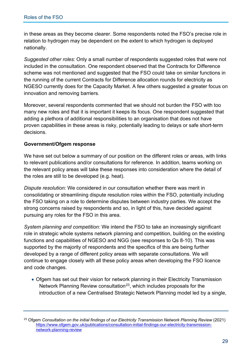in these areas as they become clearer. Some respondents noted the FSO's precise role in relation to hydrogen may be dependent on the extent to which hydrogen is deployed nationally.

*Suggested other roles:* Only a small number of respondents suggested roles that were not included in the consultation. One respondent observed that the Contracts for Difference scheme was not mentioned and suggested that the FSO could take on similar functions in the running of the current Contracts for Difference allocation rounds for electricity as NGESO currently does for the Capacity Market. A few others suggested a greater focus on innovation and removing barriers.

Moreover, several respondents commented that we should not burden the FSO with too many new roles and that it is important it keeps its focus. One respondent suggested that adding a plethora of additional responsibilities to an organisation that does not have proven capabilities in these areas is risky, potentially leading to delays or safe short-term decisions.

#### **Government/Ofgem response**

We have set out below a summary of our position on the different roles or areas, with links to relevant publications and/or consultations for reference. In addition, teams working on the relevant policy areas will take these responses into consideration where the detail of the roles are still to be developed (e.g. heat).

*Dispute resolution:* We considered in our consultation whether there was merit in consolidating or streamlining dispute resolution roles within the FSO, potentially including the FSO taking on a role to determine disputes between industry parties. We accept the strong concerns raised by respondents and so, in light of this, have decided against pursuing any roles for the FSO in this area.

*System planning and competition:* We intend the FSO to take an increasingly significant role in strategic whole systems network planning and competition, building on the existing functions and capabilities of NGESO and NGG (see responses to Qs 8-10). This was supported by the majority of respondents and the specifics of this are being further developed by a range of different policy areas with separate consultations. We will continue to engage closely with all these policy areas when developing the FSO licence and code changes.

• Ofgem has set out their vision for network planning in their Electricity Transmission Network Planning Review consultation<sup>[23](#page-35-0)</sup>, which includes proposals for the introduction of a new Centralised Strategic Network Planning model led by a single,

<span id="page-35-0"></span><sup>&</sup>lt;sup>23</sup> Ofgem *Consultation on the initial findings of our Electricity Transmission Network Planning Review (2021)* [https://www.ofgem.gov.uk/publications/consultation-initial-findings-our-electricity-transmission](https://www.ofgem.gov.uk/publications/consultation-initial-findings-our-electricity-transmission-network-planning-review)[network-planning-review](https://www.ofgem.gov.uk/publications/consultation-initial-findings-our-electricity-transmission-network-planning-review)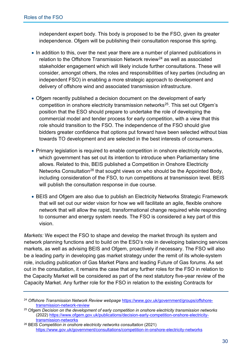independent expert body. This body is proposed to be the FSO, given its greater independence. Ofgem will be publishing their consultation response this spring.

- In addition to this, over the next year there are a number of planned publications in relation to the Offshore Transmission Network review<sup>[24](#page-36-0)</sup> as well as associated stakeholder engagement which will likely include further consultations. These will consider, amongst others, the roles and responsibilities of key parties (including an independent FSO) in enabling a more strategic approach to development and delivery of offshore wind and associated transmission infrastructure.
- Ofgem recently published a decision document on the development of early competition in onshore electricity transmission networks<sup>[25](#page-36-1)</sup>. This set out Ofgem's position that the ESO should prepare to undertake the role of developing the commercial model and tender process for early competition, with a view that this role should transition to the FSO. The independence of the FSO should give bidders greater confidence that options put forward have been selected without bias towards TO development and are selected in the best interests of consumers.
- Primary legislation is required to enable competition in onshore electricity networks, which government has set out its intention to introduce when Parliamentary time allows. Related to this, BEIS published a Competition in Onshore Electricity Networks Consultation<sup>[26](#page-36-2)</sup> that sought views on who should be the Appointed Body, including consideration of the FSO, to run competitions at transmission level. BEIS will publish the consultation response in due course.
- BEIS and Ofgem are also due to publish an Electricity Networks Strategic Framework that will set out our wider vision for how we will facilitate an agile, flexible onshore network that will allow the rapid, transformational change required while responding to consumer and energy system needs. The FSO is considered a key part of this vision.

*Markets:* We expect the FSO to shape and develop the market through its system and network planning functions and to build on the ESO's role in developing balancing services markets, as well as advising BEIS and Ofgem, proactively if necessary. The FSO will also be a leading party in developing gas market strategy under the remit of its whole-system role, including publication of Gas Market Plans and leading Future of Gas forums. As set out in the consultation, it remains the case that any further roles for the FSO in relation to the Capacity Market will be considered as part of the next statutory five-year review of the Capacity Market. Any further role for the FSO in relation to the existing Contracts for

<span id="page-36-0"></span><sup>24</sup> *Offshore Transmission Network Review webpage* [https://www.gov.uk/government/groups/offshore](https://www.gov.uk/government/groups/offshore-transmission-network-review)[transmission-network-review](https://www.gov.uk/government/groups/offshore-transmission-network-review) 25 Ofgem *Decision on the development of early competition in onshore electricity transmission networks*

<span id="page-36-1"></span><sup>(2022)</sup> [https://www.ofgem.gov.uk/publications/decision-early-competition-onshore-electricity-](https://www.ofgem.gov.uk/publications/decision-early-competition-onshore-electricity-transmission-networks)

<span id="page-36-2"></span>[transmission-networks](https://www.ofgem.gov.uk/publications/decision-early-competition-onshore-electricity-transmission-networks) 26 BEIS *Competition in onshore electricity networks consultation* (2021) <https://www.gov.uk/government/consultations/competition-in-onshore-electricity-networks>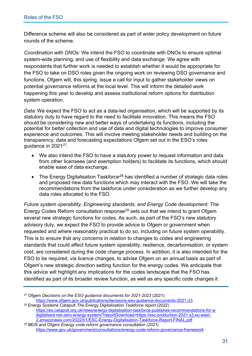Difference scheme will also be considered as part of wider policy development on future rounds of the scheme.

*Coordination with DNOs:* We intend the FSO to coordinate with DNOs to ensure optimal system-wide planning, and use of flexibility and data exchange. We agree with respondents that further work is needed to establish whether it would be appropriate for the FSO to take on DSO roles given the ongoing work on reviewing DSO governance and functions. Ofgem will, this spring, issue a call for input to gather stakeholder views on potential governance reforms at the local level. This will inform the detailed work happening this year to develop and assess institutional reform options for distribution system operation.

*Data:* We expect the FSO to act as a data-led organisation, which will be supported by its statutory duty to have regard to the need to facilitate innovation. This means the FSO should be considering new and better ways of undertaking its functions, including the potential for better collection and use of data and digital technologies to improve consumer experience and outcomes. This will involve meeting stakeholder needs and building on the transparency, data and forecasting expectations Ofgem set out in the ESO's roles guidance in 2021[27](#page-37-0).

- We also intend the FSO to have a statutory power to request information and data from other licensees (and exemption holders) to facilitate its functions, which should enable ease of data exchange.
- The Energy Digitalisation Taskforce<sup>[28](#page-37-1)</sup> has identified a number of strategic data roles and proposed new data functions which may interact with the FSO. We will take the recommendations from the taskforce under consideration as we further develop any data roles allocated to the FSO.

*Future system operability, Engineering standards, and Energy Code development:* The Energy Codes Reform consultation response<sup>[29](#page-37-2)</sup> sets out that we intend to grant Ofgem several new strategic functions for codes. As such, as part of the FSO's new statutory advisory duty, we expect the FSO to provide advice to Ofgem or government when requested and where reasonably practical to do so, including on future system operability. This is to ensure that any concerns in relation to changes to codes and engineering standards that could affect future system operability, resilience, decarbonisation, or system cost, are considered during the code change process. In addition, it is also intended for the FSO to be required, via licence changes, to advise Ofgem on an annual basis as part of Ofgem's new strategic direction setting function for the energy codes. We anticipate that this advice will highlight any implications for the codes landscape that the FSO has identified as part of its broader review function, as well as any specific code changes it

<span id="page-37-1"></span><sup>28</sup> Energy Systems Catapult *The Energy Digitalisation Taskforce report* (2022) [https://es.catapult.org.uk/news/energy-digitalisation-taskforce-publishes-recommendations-for-a](https://es.catapult.org.uk/news/energy-digitalisation-taskforce-publishes-recommendations-for-a-digitalised-net-zero-energy-system/?reportDownload=https://esc-production-2021.s3.eu-west-2.amazonaws.com/2022/01/ESC-Energy-Digitalisation-Taskforce-Report-FINAL.pdf)[digitalised-net-zero-energy-system/?reportDownload=https://esc-production-2021.s3.eu-west-](https://es.catapult.org.uk/news/energy-digitalisation-taskforce-publishes-recommendations-for-a-digitalised-net-zero-energy-system/?reportDownload=https://esc-production-2021.s3.eu-west-2.amazonaws.com/2022/01/ESC-Energy-Digitalisation-Taskforce-Report-FINAL.pdf)[2.amazonaws.com/2022/01/ESC-Energy-Digitalisation-Taskforce-Report-FINAL.pdf](https://es.catapult.org.uk/news/energy-digitalisation-taskforce-publishes-recommendations-for-a-digitalised-net-zero-energy-system/?reportDownload=https://esc-production-2021.s3.eu-west-2.amazonaws.com/2022/01/ESC-Energy-Digitalisation-Taskforce-Report-FINAL.pdf) 29 BEIS and Ofgem *Energy code reform governance consultation (2021)* 

<span id="page-37-2"></span><https://www.gov.uk/government/consultations/energy-code-reform-governance-framework>

<span id="page-37-0"></span><sup>27</sup> Ofgem *Decisions on the ESO guidance documents for 2021-2023* (2021) <https://www.ofgem.gov.uk/publications/decisions-eso-guidance-documents-2021-23>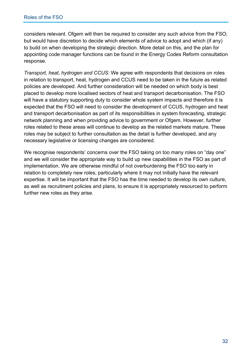considers relevant. Ofgem will then be required to consider any such advice from the FSO; but would have discretion to decide which elements of advice to adopt and which (if any) to build on when developing the strategic direction. More detail on this, and the plan for appointing code manager functions can be found in the Energy Codes Reform consultation response.

*Transport, heat, hydrogen and CCUS:* We agree with respondents that decisions on roles in relation to transport, heat, hydrogen and CCUS need to be taken in the future as related policies are developed. And further consideration will be needed on which body is best placed to develop more localised sectors of heat and transport decarbonisation. The FSO will have a statutory supporting duty to consider whole system impacts and therefore it is expected that the FSO will need to consider the development of CCUS, hydrogen and heat and transport decarbonisation as part of its responsibilities in system forecasting, strategic network planning and when providing advice to government or Ofgem. However, further roles related to these areas will continue to develop as the related markets mature. These roles may be subject to further consultation as the detail is further developed, and any necessary legislative or licensing changes are considered.

We recognise respondents' concerns over the FSO taking on too many roles on "day one" and we will consider the appropriate way to build up new capabilities in the FSO as part of implementation. We are otherwise mindful of not overburdening the FSO too early in relation to completely new roles, particularly where it may not initially have the relevant expertise. It will be important that the FSO has the time needed to develop its own culture, as well as recruitment policies and plans, to ensure it is appropriately resourced to perform further new roles as they arise.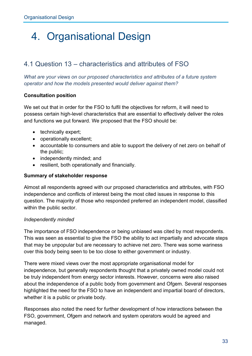## 4. Organisational Design

## 4.1 Question 13 – characteristics and attributes of FSO

*What are your views on our proposed characteristics and attributes of a future system operator and how the models presented would deliver against them?* 

#### **Consultation position**

We set out that in order for the FSO to fulfil the objectives for reform, it will need to possess certain high-level characteristics that are essential to effectively deliver the roles and functions we put forward. We proposed that the FSO should be:

- technically expert;
- operationally excellent;
- accountable to consumers and able to support the delivery of net zero on behalf of the public;
- independently minded; and
- resilient, both operationally and financially.

#### **Summary of stakeholder response**

Almost all respondents agreed with our proposed characteristics and attributes, with FSO independence and conflicts of interest being the most cited issues in response to this question. The majority of those who responded preferred an independent model, classified within the public sector.

#### *Independently minded*

The importance of FSO independence or being unbiased was cited by most respondents. This was seen as essential to give the FSO the ability to act impartially and advocate steps that may be unpopular but are necessary to achieve net zero. There was some wariness over this body being seen to be too close to either government or industry.

There were mixed views over the most appropriate organisational model for independence, but generally respondents thought that a privately owned model could not be truly independent from energy sector interests. However, concerns were also raised about the independence of a public body from government and Ofgem. Several responses highlighted the need for the FSO to have an independent and impartial board of directors, whether it is a public or private body.

Responses also noted the need for further development of how interactions between the FSO, government, Ofgem and network and system operators would be agreed and managed.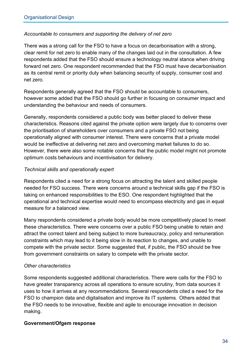#### *Accountable to consumers and supporting the delivery of net zero*

There was a strong call for the FSO to have a focus on decarbonisation with a strong, clear remit for net zero to enable many of the changes laid out in the consultation. A few respondents added that the FSO should ensure a technology neutral stance when driving forward net zero. One respondent recommended that the FSO must have decarbonisation as its central remit or priority duty when balancing security of supply, consumer cost and net zero.

Respondents generally agreed that the FSO should be accountable to consumers, however some added that the FSO should go further in focusing on consumer impact and understanding the behaviour and needs of consumers.

Generally, respondents considered a public body was better placed to deliver these characteristics. Reasons cited against the private option were largely due to concerns over the prioritisation of shareholders over consumers and a private FSO not being operationally aligned with consumer interest. There were concerns that a private model would be ineffective at delivering net zero and overcoming market failures to do so. However, there were also some notable concerns that the public model might not promote optimum costs behaviours and incentivisation for delivery.

#### *Technical skills and operationally expert*

Respondents cited a need for a strong focus on attracting the talent and skilled people needed for FSO success. There were concerns around a technical skills gap if the FSO is taking on enhanced responsibilities to the ESO. One respondent highlighted that the operational and technical expertise would need to encompass electricity and gas in equal measure for a balanced view.

Many respondents considered a private body would be more competitively placed to meet these characteristics. There were concerns over a public FSO being unable to retain and attract the correct talent and being subject to more bureaucracy, policy and remuneration constraints which may lead to it being slow in its reaction to changes, and unable to compete with the private sector. Some suggested that, if public, the FSO should be free from government constraints on salary to compete with the private sector.

#### *Other characteristics*

Some respondents suggested additional characteristics. There were calls for the FSO to have greater transparency across all operations to ensure scrutiny, from data sources it uses to how it arrives at any recommendations. Several respondents cited a need for the FSO to champion data and digitalisation and improve its IT systems. Others added that the FSO needs to be innovative, flexible and agile to encourage innovation in decision making.

#### **Government/Ofgem response**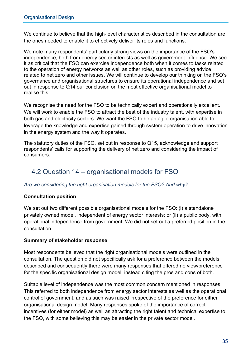We continue to believe that the high-level characteristics described in the consultation are the ones needed to enable it to effectively deliver its roles and functions.

We note many respondents' particularly strong views on the importance of the FSO's independence, both from energy sector interests as well as government influence. We see it as critical that the FSO can exercise independence both when it comes to tasks related to the operation of energy networks as well as other roles, such as providing advice related to net zero and other issues. We will continue to develop our thinking on the FSO's governance and organisational structures to ensure its operational independence and set out in response to Q14 our conclusion on the most effective organisational model to realise this.

We recognise the need for the FSO to be technically expert and operationally excellent. We will work to enable the FSO to attract the best of the industry talent, with expertise in both gas and electricity sectors. We want the FSO to be an agile organisation able to leverage the knowledge and expertise gained through system operation to drive innovation in the energy system and the way it operates.

The statutory duties of the FSO, set out in response to Q15, acknowledge and support respondents' calls for supporting the delivery of net zero and considering the impact of consumers.

## 4.2 Question 14 – organisational models for FSO

#### *Are we considering the right organisation models for the FSO? And why?*

#### **Consultation position**

We set out two different possible organisational models for the FSO: (i) a standalone privately owned model, independent of energy sector interests; or (ii) a public body, with operational independence from government. We did not set out a preferred position in the consultation.

#### **Summary of stakeholder response**

Most respondents believed that the right organisational models were outlined in the consultation. The question did not specifically ask for a preference between the models described and consequently there were many responses that offered no view/preference for the specific organisational design model, instead citing the pros and cons of both.

Suitable level of independence was the most common concern mentioned in responses. This referred to both independence from energy sector interests as well as the operational control of government, and as such was raised irrespective of the preference for either organisational design model. Many responses spoke of the importance of correct incentives (for either model) as well as attracting the right talent and technical expertise to the FSO, with some believing this may be easier in the private sector model.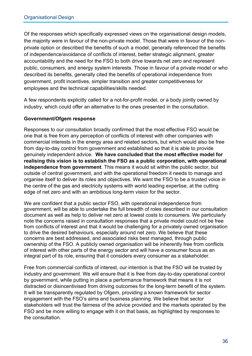Of the responses which specifically expressed views on the organisational design models, the majority were in favour of the non-private model. Those that were in favour of the nonprivate option or described the benefits of such a model, generally referenced the benefits of independence/avoidance of conflicts of interest, better strategic alignment, greater accountability and the need for the FSO to both drive towards net zero and represent public, consumers, and energy system interests. Those in favour of a private model or who described its benefits, generally cited the benefits of operational independence from government, profit incentives, simpler transition and greater competitiveness for employees and the technical capabilities/skills needed.

A few respondents explicitly called for a not-for-profit model, or a body jointly owned by industry, which could offer an alternative to the ones presented in the consultation.

#### **Government/Ofgem response**

Responses to our consultation broadly confirmed that the most effective FSO would be one that is free from any perception of conflicts of interest with other companies with commercial interests in the energy area and related sectors, but which would also be free from day-to-day control from government and established so that it is able to provide genuinely independent advice. **We have concluded that the most effective model for realising this vision is to establish the FSO as a public corporation, with operational independence from government**. This means it would sit within the public sector, but outside of central government, and with the operational freedom it needs to manage and organise itself to deliver its roles and objectives. We want the FSO to be a trusted voice in the centre of the gas and electricity systems with world leading expertise, at the cutting edge of net zero and with an ambitious long-term vision for the sector.

We are confident that a public sector FSO, with operational independence from government, will be able to undertake the full breadth of roles described in our consultation document as well as help to deliver net zero at lowest costs to consumers. We particularly note the concerns raised in consultation responses that a private model could not be free from conflicts of interest and that it would be challenging for a privately owned organisation to drive the desired behaviours, especially around net zero. We believe that these concerns are best addressed, and associated risks best managed, through public ownership of the FSO. A publicly owned organisation will be inherently free from conflicts of interest with other parts of the energy sector and will have a consumer focus as an integral part of its role, ensuring that it considers every consumer as a stakeholder.

Free from commercial conflicts of interest, our intention is that the FSO will be trusted by industry and government. We will ensure that it is free from day-to-day operational control by government, while putting in place a performance framework that means it is not distracted or disincentivised from driving outcomes for the long-term benefit of the system. It will be transparently regulated by Ofgem, providing a known framework for sector engagement with the FSO's aims and business planning. We believe that sector stakeholders will trust the fairness of the advice provided and the markets operated by the FSO and be more willing to engage with it on that basis, as highlighted by responses to the consultation.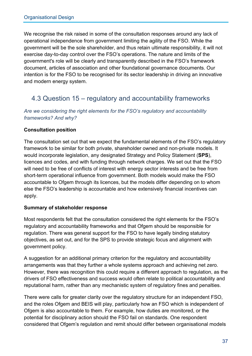We recognise the risk raised in some of the consultation responses around any lack of operational independence from government limiting the agility of the FSO. While the government will be the sole shareholder, and thus retain ultimate responsibility, it will not exercise day-to-day control over the FSO's operations. The nature and limits of the government's role will be clearly and transparently described in the FSO's framework document, articles of association and other foundational governance documents. Our intention is for the FSO to be recognised for its sector leadership in driving an innovative and modern energy system.

## 4.3 Question 15 – regulatory and accountability frameworks

*Are we considering the right elements for the FSO's regulatory and accountability frameworks? And why?* 

#### **Consultation position**

The consultation set out that we expect the fundamental elements of the FSO's regulatory framework to be similar for both private, shareholder owned and non-private models. It would incorporate legislation, any designated Strategy and Policy Statement (**SPS**), licences and codes, and with funding through network charges. We set out that the FSO will need to be free of conflicts of interest with energy sector interests and be free from short-term operational influence from government. Both models would make the FSO accountable to Ofgem through its licences, but the models differ depending on to whom else the FSO's leadership is accountable and how extensively financial incentives can apply.

#### **Summary of stakeholder response**

Most respondents felt that the consultation considered the right elements for the FSO's regulatory and accountability frameworks and that Ofgem should be responsible for regulation. There was general support for the FSO to have legally binding statutory objectives, as set out, and for the SPS to provide strategic focus and alignment with government policy.

A suggestion for an additional primary criterion for the regulatory and accountability arrangements was that they further a whole systems approach and achieving net zero. However, there was recognition this could require a different approach to regulation, as the drivers of FSO effectiveness and success would often relate to political accountability and reputational harm, rather than any mechanistic system of regulatory fines and penalties.

There were calls for greater clarity over the regulatory structure for an independent FSO, and the roles Ofgem and BEIS will play, particularly how an FSO which is independent of Ofgem is also accountable to them. For example, how duties are monitored, or the potential for disciplinary action should the FSO fail on standards. One respondent considered that Ofgem's regulation and remit should differ between organisational models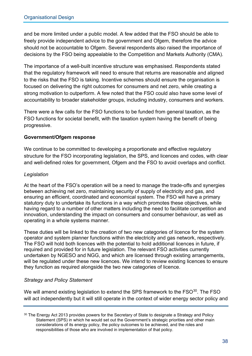and be more limited under a public model. A few added that the FSO should be able to freely provide independent advice to the government and Ofgem, therefore the advice should not be accountable to Ofgem. Several respondents also raised the importance of decisions by the FSO being appealable to the Competition and Markets Authority (CMA).

The importance of a well-built incentive structure was emphasised. Respondents stated that the regulatory framework will need to ensure that returns are reasonable and aligned to the risks that the FSO is taking. Incentive schemes should ensure the organisation is focused on delivering the right outcomes for consumers and net zero, while creating a strong motivation to outperform. A few noted that the FSO could also have some level of accountability to broader stakeholder groups, including industry, consumers and workers.

There were a few calls for the FSO functions to be funded from general taxation, as the FSO functions for societal benefit, with the taxation system having the benefit of being progressive.

#### **Government/Ofgem response**

We continue to be committed to developing a proportionate and effective regulatory structure for the FSO incorporating legislation, the SPS, and licences and codes, with clear and well-defined roles for government, Ofgem and the FSO to avoid overlaps and conflict.

#### *Legislation*

At the heart of the FSO's operation will be a need to manage the trade-offs and synergies between achieving net zero, maintaining security of supply of electricity and gas, and ensuring an efficient, coordinated and economical system. The FSO will have a primary statutory duty to undertake its functions in a way which promotes these objectives, while having regard to a number of other matters including the need to facilitate competition and innovation, understanding the impact on consumers and consumer behaviour, as well as operating in a whole systems manner.

These duties will be linked to the creation of two new categories of licence for the system operator and system planner functions within the electricity and gas network, respectively. The FSO will hold both licences with the potential to hold additional licences in future, if required and provided for in future legislation. The relevant FSO activities currently undertaken by NGESO and NGG, and which are licensed through existing arrangements, will be regulated under these new licences. We intend to review existing licences to ensure they function as required alongside the two new categories of licence.

#### *Strategy and Policy Statement*

We will amend existing legislation to extend the SPS framework to the FSO<sup>[30](#page-44-0)</sup>. The FSO will act independently but it will still operate in the context of wider energy sector policy and

<span id="page-44-0"></span><sup>&</sup>lt;sup>30</sup> The Energy Act 2013 provides powers for the Secretary of State to designate a Strategy and Policy Statement (SPS) in which he would set out the Government's strategic priorities and other main considerations of its energy policy, the policy outcomes to be achieved, and the roles and responsibilities of those who are involved in implementation of that policy.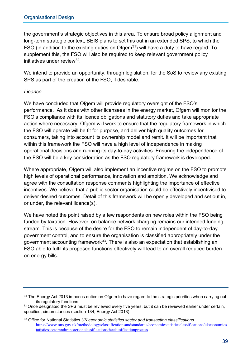the government's strategic objectives in this area. To ensure broad policy alignment and long-term strategic context, BEIS plans to set this out in an extended SPS, to which the FSO (in addition to the existing duties on Ofgem<sup>31</sup>) will have a duty to have regard. To supplement this, the FSO will also be required to keep relevant government policy initiatives under review<sup>[32](#page-45-1)</sup>.

We intend to provide an opportunity, through legislation, for the SoS to review any existing SPS as part of the creation of the FSO, if desirable.

#### *Licence*

We have concluded that Ofgem will provide regulatory oversight of the FSO's performance. As it does with other licensees in the energy market, Ofgem will monitor the FSO's compliance with its licence obligations and statutory duties and take appropriate action where necessary. Ofgem will work to ensure that the regulatory framework in which the FSO will operate will be fit for purpose, and deliver high quality outcomes for consumers, taking into account its ownership model and remit. It will be important that within this framework the FSO will have a high level of independence in making operational decisions and running its day-to-day activities. Ensuring the independence of the FSO will be a key consideration as the FSO regulatory framework is developed.

Where appropriate, Ofgem will also implement an incentive regime on the FSO to promote high levels of operational performance, innovation and ambition. We acknowledge and agree with the consultation response comments highlighting the importance of effective incentives. We believe that a public sector organisation could be effectively incentivised to deliver desired outcomes. Detail of this framework will be openly developed and set out in, or under, the relevant licence(s).

We have noted the point raised by a few respondents on new roles within the FSO being funded by taxation. However, on balance network charging remains our intended funding stream. This is because of the desire for the FSO to remain independent of day-to-day government control, and to ensure the organisation is classified appropriately under the government accounting framework<sup>[33](#page-45-2)</sup>. There is also an expectation that establishing an FSO able to fulfil its proposed functions effectively will lead to an overall reduced burden on energy bills.

<span id="page-45-0"></span><sup>&</sup>lt;sup>31</sup> The Energy Act 2013 imposes duties on Ofgem to have regard to the strategic priorities when carrying out its regulatory functions.

<span id="page-45-1"></span><sup>&</sup>lt;sup>32</sup> Once designated the SPS must be reviewed every five years, but it can be reviewed earlier under certain, specified, circumstances (section 134, Energy Act 2013).

<span id="page-45-2"></span><sup>33</sup> Office for National Statistics *UK economic statistics sector and transaction classifications*  [https://www.ons.gov.uk/methodology/classificationsandstandards/economicstatisticsclassifications/ukeconomics](https://www.ons.gov.uk/methodology/classificationsandstandards/economicstatisticsclassifications/ukeconomicstatisticssectorandtransactionclassificationstheclassificationprocess) [tatisticssectorandtransactionclassificationstheclassificationprocess](https://www.ons.gov.uk/methodology/classificationsandstandards/economicstatisticsclassifications/ukeconomicstatisticssectorandtransactionclassificationstheclassificationprocess)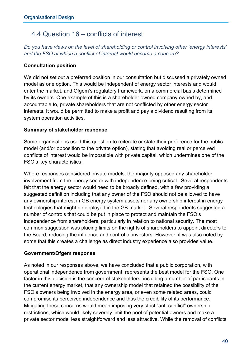## 4.4 Question 16 – conflicts of interest

*Do you have views on the level of shareholding or control involving other 'energy interests' and the FSO at which a conflict of interest would become a concern?* 

#### **Consultation position**

We did not set out a preferred position in our consultation but discussed a privately owned model as one option. This would be independent of energy sector interests and would enter the market, and Ofgem's regulatory framework, on a commercial basis determined by its owners. One example of this is a shareholder owned company owned by, and accountable to, private shareholders that are not conflicted by other energy sector interests. It would be permitted to make a profit and pay a dividend resulting from its system operation activities.

#### **Summary of stakeholder response**

Some organisations used this question to reiterate or state their preference for the public model (and/or opposition to the private option), stating that avoiding real or perceived conflicts of interest would be impossible with private capital, which undermines one of the FSO's key characteristics.

Where responses considered private models, the majority opposed any shareholder involvement from the energy sector with independence being critical. Several respondents felt that the energy sector would need to be broadly defined, with a few providing a suggested definition including that any owner of the FSO should not be allowed to have any ownership interest in GB energy system assets nor any ownership interest in energy technologies that might be deployed in the GB market. Several respondents suggested a number of controls that could be put in place to protect and maintain the FSO's independence from shareholders, particularly in relation to national security. The most common suggestion was placing limits on the rights of shareholders to appoint directors to the Board, reducing the influence and control of investors. However, it was also noted by some that this creates a challenge as direct industry experience also provides value.

#### **Government/Ofgem response**

As noted in our responses above, we have concluded that a public corporation, with operational independence from government, represents the best model for the FSO. One factor in this decision is the concern of stakeholders, including a number of participants in the current energy market, that any ownership model that retained the possibility of the FSO's owners being involved in the energy area, or even some related areas, could compromise its perceived independence and thus the credibility of its performance. Mitigating these concerns would mean imposing very strict "anti-conflict" ownership restrictions, which would likely severely limit the pool of potential owners and make a private sector model less straightforward and less attractive. While the removal of conflicts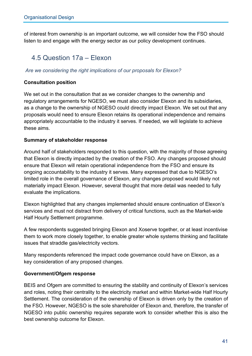of interest from ownership is an important outcome, we will consider how the FSO should listen to and engage with the energy sector as our policy development continues.

## 4.5 Question 17a – Elexon

#### *Are we considering the right implications of our proposals for Elexon?*

#### **Consultation position**

We set out in the consultation that as we consider changes to the ownership and regulatory arrangements for NGESO, we must also consider Elexon and its subsidiaries, as a change to the ownership of NGESO could directly impact Elexon. We set out that any proposals would need to ensure Elexon retains its operational independence and remains appropriately accountable to the industry it serves. If needed, we will legislate to achieve these aims.

#### **Summary of stakeholder response**

Around half of stakeholders responded to this question, with the majority of those agreeing that Elexon is directly impacted by the creation of the FSO. Any changes proposed should ensure that Elexon will retain operational independence from the FSO and ensure its ongoing accountability to the industry it serves. Many expressed that due to NGESO's limited role in the overall governance of Elexon, any changes proposed would likely not materially impact Elexon. However, several thought that more detail was needed to fully evaluate the implications.

Elexon highlighted that any changes implemented should ensure continuation of Elexon's services and must not distract from delivery of critical functions, such as the Market-wide Half Hourly Settlement programme.

A few respondents suggested bringing Elexon and Xoserve together, or at least incentivise them to work more closely together, to enable greater whole systems thinking and facilitate issues that straddle gas/electricity vectors.

Many respondents referenced the impact code governance could have on Elexon, as a key consideration of any proposed changes.

#### **Government/Ofgem response**

BEIS and Ofgem are committed to ensuring the stability and continuity of Elexon's services and roles, noting their centrality to the electricity market and within Market-wide Half Hourly Settlement. The consideration of the ownership of Elexon is driven only by the creation of the FSO. However, NGESO is the sole shareholder of Elexon and, therefore, the transfer of NGESO into public ownership requires separate work to consider whether this is also the best ownership outcome for Elexon.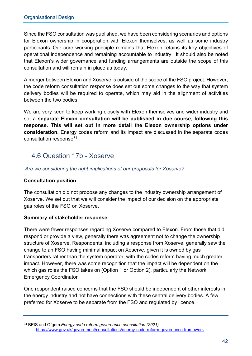Since the FSO consultation was published, we have been considering scenarios and options for Elexon ownership in cooperation with Elexon themselves, as well as some industry participants. Our core working principle remains that Elexon retains its key objectives of operational independence and remaining accountable to industry. It should also be noted that Elexon's wider governance and funding arrangements are outside the scope of this consultation and will remain in place as today.

A merger between Elexon and Xoserve is outside of the scope of the FSO project. However, the code reform consultation response does set out some changes to the way that system delivery bodies will be required to operate, which may aid in the alignment of activities between the two bodies.

We are very keen to keep working closely with Elexon themselves and wider industry and so, **a separate Elexon consultation will be published in due course, following this response. This will set out in more detail the Elexon ownership options under consideration.** Energy codes reform and its impact are discussed in the separate codes consultation response[34.](#page-48-0)

## 4.6 Question 17b - Xoserve

*Are we considering the right implications of our proposals for Xoserve?* 

#### **Consultation position**

The consultation did not propose any changes to the industry ownership arrangement of Xoserve. We set out that we will consider the impact of our decision on the appropriate gas roles of the FSO on Xoserve.

#### **Summary of stakeholder response**

There were fewer responses regarding Xoserve compared to Elexon. From those that did respond or provide a view, generally there was agreement not to change the ownership structure of Xoserve. Respondents, including a response from Xoserve, generally saw the change to an FSO having minimal impact on Xoserve, given it is owned by gas transporters rather than the system operator, with the codes reform having much greater impact. However, there was some recognition that the impact will be dependent on the which gas roles the FSO takes on (Option 1 or Option 2), particularly the Network Emergency Coordinator.

One respondent raised concerns that the FSO should be independent of other interests in the energy industry and not have connections with these central delivery bodies. A few preferred for Xoserve to be separate from the FSO and regulated by licence.

<span id="page-48-0"></span><sup>34</sup> BEIS and Ofgem *Energy code reform governance consultation (2021)*  <https://www.gov.uk/government/consultations/energy-code-reform-governance-framework>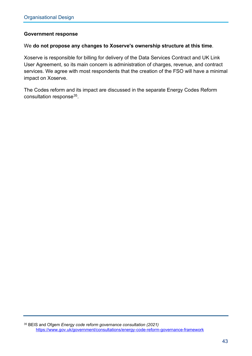#### **Government response**

#### We **do not propose any changes to Xoserve's ownership structure at this time**.

Xoserve is responsible for billing for delivery of the Data Services Contract and UK Link User Agreement, so its main concern is administration of charges, revenue, and contract services. We agree with most respondents that the creation of the FSO will have a minimal impact on Xoserve.

<span id="page-49-0"></span>The Codes reform and its impact are discussed in the separate Energy Codes Reform consultation response<sup>35</sup>.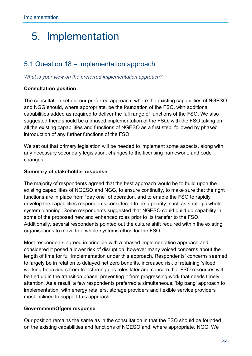## 5. Implementation

## 5.1 Question 18 – implementation approach

*What is your view on the preferred implementation approach?* 

#### **Consultation position**

The consultation set out our preferred approach, where the existing capabilities of NGESO and NGG should, where appropriate, be the foundation of the FSO, with additional capabilities added as required to deliver the full range of functions of the FSO. We also suggested there should be a phased implementation of the FSO, with the FSO taking on all the existing capabilities and functions of NGESO as a first step, followed by phased introduction of any further functions of the FSO.

We set out that primary legislation will be needed to implement some aspects, along with any necessary secondary legislation, changes to the licensing framework, and code changes.

#### **Summary of stakeholder response**

The majority of respondents agreed that the best approach would be to build upon the existing capabilities of NGESO and NGG, to ensure continuity, to make sure that the right functions are in place from "day one" of operation, and to enable the FSO to rapidly develop the capabilities respondents considered to be a priority, such as strategic wholesystem planning. Some respondents suggested that NGESO could build up capability in some of the proposed new and enhanced roles prior to its transfer to the FSO. Additionally, several respondents pointed out the culture shift required within the existing organisations to move to a whole-systems ethos for the FSO.

Most respondents agreed in principle with a phased implementation approach and considered it posed a lower risk of disruption, however many voiced concerns about the length of time for full implementation under this approach. Respondents' concerns seemed to largely be in relation to delayed net zero benefits, increased risk of retaining 'siloed' working behaviours from transferring gas roles later and concern that FSO resources will be tied up in the transition phase, preventing it from progressing work that needs timely attention. As a result, a few respondents preferred a simultaneous, 'big bang' approach to implementation, with energy retailers, storage providers and flexible service providers most inclined to support this approach.

#### **Government/Ofgem response**

Our position remains the same as in the consultation in that the FSO should be founded on the existing capabilities and functions of NGESO and, where appropriate, NGG. We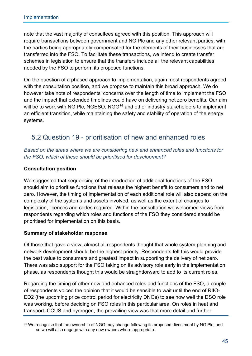note that the vast majority of consultees agreed with this position. This approach will require transactions between government and NG Plc and any other relevant parties, with the parties being appropriately compensated for the elements of their businesses that are transferred into the FSO. To facilitate these transactions, we intend to create transfer schemes in legislation to ensure that the transfers include all the relevant capabilities needed by the FSO to perform its proposed functions.

On the question of a phased approach to implementation, again most respondents agreed with the consultation position, and we propose to maintain this broad approach. We do however take note of respondents' concerns over the length of time to implement the FSO and the impact that extended timelines could have on delivering net zero benefits. Our aim will be to work with NG Plc, NGESO, NGG<sup>36</sup> and other industry stakeholders to implement an efficient transition, while maintaining the safety and stability of operation of the energy systems.

## 5.2 Question 19 - prioritisation of new and enhanced roles

*Based on the areas where we are considering new and enhanced roles and functions for the FSO, which of these should be prioritised for development?* 

#### **Consultation position**

We suggested that sequencing of the introduction of additional functions of the FSO should aim to prioritise functions that release the highest benefit to consumers and to net zero. However, the timing of implementation of each additional role will also depend on the complexity of the systems and assets involved, as well as the extent of changes to legislation, licences and codes required. Within the consultation we welcomed views from respondents regarding which roles and functions of the FSO they considered should be prioritised for implementation on this basis.

#### **Summary of stakeholder response**

Of those that gave a view, almost all respondents thought that whole system planning and network development should be the highest priority. Respondents felt this would provide the best value to consumers and greatest impact in supporting the delivery of net zero. There was also support for the FSO taking on its advisory role early in the implementation phase, as respondents thought this would be straightforward to add to its current roles.

Regarding the timing of other new and enhanced roles and functions of the FSO, a couple of respondents voiced the opinion that it would be sensible to wait until the end of RIIO-ED2 (the upcoming price control period for electricity DNOs) to see how well the DSO role was working, before deciding on FSO roles in this particular area. On roles in heat and transport, CCUS and hydrogen, the prevailing view was that more detail and further

<span id="page-51-0"></span><sup>36</sup> We recognise that the ownership of NGG may change following its proposed divestment by NG Plc, and so we will also engage with any new owners where appropriate.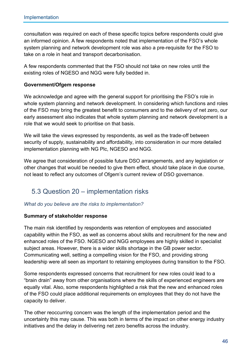consultation was required on each of these specific topics before respondents could give an informed opinion. A few respondents noted that implementation of the FSO's whole system planning and network development role was also a pre-requisite for the FSO to take on a role in heat and transport decarbonisation.

A few respondents commented that the FSO should not take on new roles until the existing roles of NGESO and NGG were fully bedded in.

#### **Government/Ofgem response**

We acknowledge and agree with the general support for prioritising the FSO's role in whole system planning and network development. In considering which functions and roles of the FSO may bring the greatest benefit to consumers and to the delivery of net zero, our early assessment also indicates that whole system planning and network development is a role that we would seek to prioritise on that basis.

We will take the views expressed by respondents, as well as the trade-off between security of supply, sustainability and affordability, into consideration in our more detailed implementation planning with NG Plc, NGESO and NGG.

We agree that consideration of possible future DSO arrangements, and any legislation or other changes that would be needed to give them effect, should take place in due course, not least to reflect any outcomes of Ofgem's current review of DSO governance.

### 5.3 Question 20 – implementation risks

#### *What do you believe are the risks to implementation?*

#### **Summary of stakeholder response**

The main risk identified by respondents was retention of employees and associated capability within the FSO, as well as concerns about skills and recruitment for the new and enhanced roles of the FSO. NGESO and NGG employees are highly skilled in specialist subject areas. However, there is a wider skills shortage in the GB power sector. Communicating well, setting a compelling vision for the FSO, and providing strong leadership were all seen as important to retaining employees during transition to the FSO.

Some respondents expressed concerns that recruitment for new roles could lead to a "brain drain" away from other organisations where the skills of experienced engineers are equally vital. Also, some respondents highlighted a risk that the new and enhanced roles of the FSO could place additional requirements on employees that they do not have the capacity to deliver.

The other reoccurring concern was the length of the implementation period and the uncertainty this may cause. This was both in terms of the impact on other energy industry initiatives and the delay in delivering net zero benefits across the industry.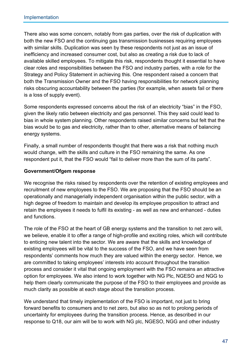There also was some concern, notably from gas parties, over the risk of duplication with both the new FSO and the continuing gas transmission businesses requiring employees with similar skills. Duplication was seen by these respondents not just as an issue of inefficiency and increased consumer cost, but also as creating a risk due to lack of available skilled employees. To mitigate this risk, respondents thought it essential to have clear roles and responsibilities between the FSO and industry parties, with a role for the Strategy and Policy Statement in achieving this. One respondent raised a concern that both the Transmission Owner and the FSO having responsibilities for network planning risks obscuring accountability between the parties (for example, when assets fail or there is a loss of supply event).

Some respondents expressed concerns about the risk of an electricity "bias" in the FSO, given the likely ratio between electricity and gas personnel. This they said could lead to bias in whole system planning. Other respondents raised similar concerns but felt that the bias would be to gas and electricity, rather than to other, alternative means of balancing energy systems.

Finally, a small number of respondents thought that there was a risk that nothing much would change, with the skills and culture in the FSO remaining the same. As one respondent put it, that the FSO would "fail to deliver more than the sum of its parts".

#### **Government/Ofgem response**

We recognise the risks raised by respondents over the retention of existing employees and recruitment of new employees to the FSO. We are proposing that the FSO should be an operationally and managerially independent organisation within the public sector, with a high degree of freedom to maintain and develop its employee proposition to attract and retain the employees it needs to fulfil its existing - as well as new and enhanced - duties and functions.

The role of the FSO at the heart of GB energy systems and the transition to net zero will, we believe, enable it to offer a range of high-profile and exciting roles, which will contribute to enticing new talent into the sector. We are aware that the skills and knowledge of existing employees will be vital to the success of the FSO, and we have seen from respondents' comments how much they are valued within the energy sector. Hence, we are committed to taking employees' interests into account throughout the transition process and consider it vital that ongoing employment with the FSO remains an attractive option for employees. We also intend to work together with NG Plc, NGESO and NGG to help them clearly communicate the purpose of the FSO to their employees and provide as much clarity as possible at each stage about the transition process.

We understand that timely implementation of the FSO is important, not just to bring forward benefits to consumers and to net zero, but also so as not to prolong periods of uncertainty for employees during the transition process. Hence, as described in our response to Q18, our aim will be to work with NG plc, NGESO, NGG and other industry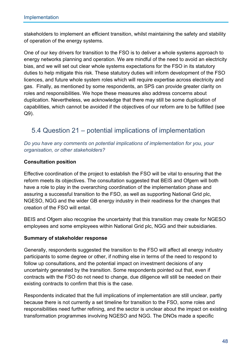stakeholders to implement an efficient transition, whilst maintaining the safety and stability of operation of the energy systems.

One of our key drivers for transition to the FSO is to deliver a whole systems approach to energy networks planning and operation. We are mindful of the need to avoid an electricity bias, and we will set out clear whole systems expectations for the FSO in its statutory duties to help mitigate this risk. These statutory duties will inform development of the FSO licences, and future whole system roles which will require expertise across electricity and gas. Finally, as mentioned by some respondents, an SPS can provide greater clarity on roles and responsibilities. We hope these measures also address concerns about duplication. Nevertheless, we acknowledge that there may still be some duplication of capabilities, which cannot be avoided if the objectives of our reform are to be fulfilled (see Q9).

## 5.4 Question 21 – potential implications of implementation

*Do you have any comments on potential implications of implementation for you, your organisation, or other stakeholders?* 

#### **Consultation position**

Effective coordination of the project to establish the FSO will be vital to ensuring that the reform meets its objectives. The consultation suggested that BEIS and Ofgem will both have a role to play in the overarching coordination of the implementation phase and assuring a successful transition to the FSO, as well as supporting National Grid plc, NGESO, NGG and the wider GB energy industry in their readiness for the changes that creation of the FSO will entail.

BEIS and Ofgem also recognise the uncertainty that this transition may create for NGESO employees and some employees within National Grid plc, NGG and their subsidiaries.

#### **Summary of stakeholder response**

Generally, respondents suggested the transition to the FSO will affect all energy industry participants to some degree or other, if nothing else in terms of the need to respond to follow up consultations, and the potential impact on investment decisions of any uncertainty generated by the transition. Some respondents pointed out that, even if contracts with the FSO do not need to change, due diligence will still be needed on their existing contracts to confirm that this is the case.

Respondents indicated that the full implications of implementation are still unclear, partly because there is not currently a set timeline for transition to the FSO, some roles and responsibilities need further refining, and the sector is unclear about the impact on existing transformation programmes involving NGESO and NGG. The DNOs made a specific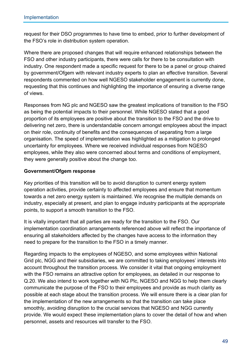request for their DSO programmes to have time to embed, prior to further development of the FSO's role in distribution system operation.

Where there are proposed changes that will require enhanced relationships between the FSO and other industry participants, there were calls for there to be consultation with industry. One respondent made a specific request for there to be a panel or group chaired by government/Ofgem with relevant industry experts to plan an effective transition. Several respondents commented on how well NGESO stakeholder engagement is currently done, requesting that this continues and highlighting the importance of ensuring a diverse range of views.

Responses from NG plc and NGESO saw the greatest implications of transition to the FSO as being the potential impacts to their personnel. While NGESO stated that a good proportion of its employees are positive about the transition to the FSO and the drive to delivering net zero, there is understandable concern amongst employees about the impact on their role, continuity of benefits and the consequences of separating from a large organisation. The speed of implementation was highlighted as a mitigation to prolonged uncertainty for employees. Where we received individual responses from NGESO employees, while they also were concerned about terms and conditions of employment, they were generally positive about the change too.

#### **Government/Ofgem response**

Key priorities of this transition will be to avoid disruption to current energy system operation activities, provide certainty to affected employees and ensure that momentum towards a net zero energy system is maintained. We recognise the multiple demands on industry, especially at present, and plan to engage industry participants at the appropriate points, to support a smooth transition to the FSO.

It is vitally important that all parties are ready for the transition to the FSO. Our implementation coordination arrangements referenced above will reflect the importance of ensuring all stakeholders affected by the changes have access to the information they need to prepare for the transition to the FSO in a timely manner.

Regarding impacts to the employees of NGESO, and some employees within National Grid plc, NGG and their subsidiaries, we are committed to taking employees' interests into account throughout the transition process. We consider it vital that ongoing employment with the FSO remains an attractive option for employees, as detailed in our response to Q.20. We also intend to work together with NG Plc, NGESO and NGG to help them clearly communicate the purpose of the FSO to their employees and provide as much clarity as possible at each stage about the transition process. We will ensure there is a clear plan for the implementation of the new arrangements so that the transition can take place smoothly, avoiding disruption to the crucial services that NGESO and NGG currently provide. We would expect these implementation plans to cover the detail of how and when personnel, assets and resources will transfer to the FSO.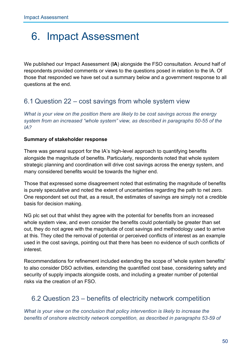## 6. Impact Assessment

We published our Impact Assessment (**IA**) alongside the FSO consultation. Around half of respondents provided comments or views to the questions posed in relation to the IA. Of those that responded we have set out a summary below and a government response to all questions at the end.

### 6.1 Question 22 – cost savings from whole system view

*What is your view on the position there are likely to be cost savings across the energy system from an increased "whole system" view, as described in paragraphs 50-55 of the IA?*

#### **Summary of stakeholder response**

There was general support for the IA's high-level approach to quantifying benefits alongside the magnitude of benefits. Particularly, respondents noted that whole system strategic planning and coordination will drive cost savings across the energy system, and many considered benefits would be towards the higher end.

Those that expressed some disagreement noted that estimating the magnitude of benefits is purely speculative and noted the extent of uncertainties regarding the path to net zero. One respondent set out that, as a result, the estimates of savings are simply not a credible basis for decision making.

NG plc set out that whilst they agree with the potential for benefits from an increased whole system view, and even consider the benefits could potentially be greater than set out, they do not agree with the magnitude of cost savings and methodology used to arrive at this. They cited the removal of potential or perceived conflicts of interest as an example used in the cost savings, pointing out that there has been no evidence of such conflicts of interest.

Recommendations for refinement included extending the scope of 'whole system benefits' to also consider DSO activities, extending the quantified cost base, considering safety and security of supply impacts alongside costs, and including a greater number of potential risks via the creation of an FSO.

### 6.2 Question 23 – benefits of electricity network competition

*What is your view on the conclusion that policy intervention is likely to increase the benefits of onshore electricity network competition, as described in paragraphs 53-59 of*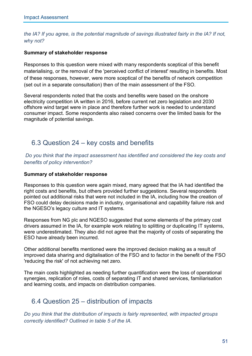*the IA? If you agree, is the potential magnitude of savings illustrated fairly in the IA? If not, why not?*

#### **Summary of stakeholder response**

Responses to this question were mixed with many respondents sceptical of this benefit materialising, or the removal of the 'perceived conflict of interest' resulting in benefits. Most of these responses, however, were more sceptical of the benefits of network competition (set out in a separate consultation) then of the main assessment of the FSO.

Several respondents noted that the costs and benefits were based on the onshore electricity competition IA written in 2016, before current net zero legislation and 2030 offshore wind target were in place and therefore further work is needed to understand consumer impact. Some respondents also raised concerns over the limited basis for the magnitude of potential savings.

## 6.3 Question 24 – key costs and benefits

*Do you think that the impact assessment has identified and considered the key costs and benefits of policy intervention?*

#### **Summary of stakeholder response**

Responses to this question were again mixed, many agreed that the IA had identified the right costs and benefits, but others provided further suggestions. Several respondents pointed out additional risks that were not included in the IA, including how the creation of FSO could delay decisions made in industry, organisational and capability failure risk and the NGESO's legacy culture and IT systems.

Responses from NG plc and NGESO suggested that some elements of the primary cost drivers assumed in the IA, for example work relating to splitting or duplicating IT systems, were underestimated. They also did not agree that the majority of costs of separating the ESO have already been incurred.

Other additional benefits mentioned were the improved decision making as a result of improved data sharing and digitalisation of the FSO and to factor in the benefit of the FSO 'reducing the risk' of not achieving net zero.

The main costs highlighted as needing further quantification were the loss of operational synergies, replication of roles, costs of separating IT and shared services, familiarisation and learning costs, and impacts on distribution companies.

### 6.4 Question 25 – distribution of impacts

*Do you think that the distribution of impacts is fairly represented, with impacted groups correctly identified? Outlined in table 5 of the IA.*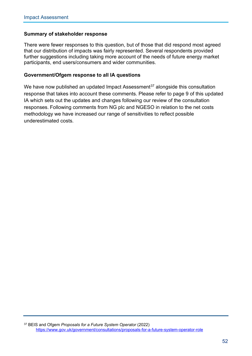#### **Summary of stakeholder response**

There were fewer responses to this question, but of those that did respond most agreed that our distribution of impacts was fairly represented. Several respondents provided further suggestions including taking more account of the needs of future energy market participants, end users/consumers and wider communities.

#### **Government/Ofgem response to all IA questions**

<span id="page-58-0"></span>We have now published an updated Impact Assessment<sup>[37](#page-58-0)</sup> alongside this consultation response that takes into account these comments. Please refer to page 9 of this updated IA which sets out the updates and changes following our review of the consultation responses. Following comments from NG plc and NGESO in relation to the net costs methodology we have increased our range of sensitivities to reflect possible underestimated costs.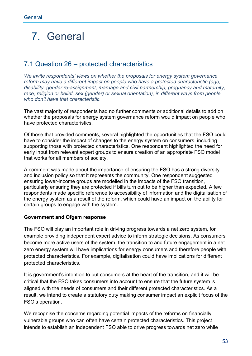## 7. General

## 7.1 Question 26 – protected characteristics

*We invite respondents' views on whether the proposals for energy system governance reform may have a different impact on people who have a protected characteristic (age, disability, gender re-assignment, marriage and civil partnership, pregnancy and maternity, race, religion or belief, sex (gender) or sexual orientation), in different ways from people who don't have that characteristic.* 

The vast majority of respondents had no further comments or additional details to add on whether the proposals for energy system governance reform would impact on people who have protected characteristics.

Of those that provided comments, several highlighted the opportunities that the FSO could have to consider the impact of changes to the energy system on consumers, including supporting those with protected characteristics. One respondent highlighted the need for early input from relevant expert groups to ensure creation of an appropriate FSO model that works for all members of society.

A comment was made about the importance of ensuring the FSO has a strong diversity and inclusion policy so that it represents the community. One respondent suggested ensuring lower-income groups are modelled in the impacts of the FSO transition, particularly ensuring they are protected if bills turn out to be higher than expected. A few respondents made specific reference to accessibility of information and the digitalisation of the energy system as a result of the reform, which could have an impact on the ability for certain groups to engage with the system.

#### **Government and Ofgem response**

The FSO will play an important role in driving progress towards a net zero system, for example providing independent expert advice to inform strategic decisions. As consumers become more active users of the system, the transition to and future engagement in a net zero energy system will have implications for energy consumers and therefore people with protected characteristics. For example, digitalisation could have implications for different protected characteristics.

It is government's intention to put consumers at the heart of the transition, and it will be critical that the FSO takes consumers into account to ensure that the future system is aligned with the needs of consumers and their different protected characteristics. As a result, we intend to create a statutory duty making consumer impact an explicit focus of the FSO's operation.

We recognise the concerns regarding potential impacts of the reforms on financially vulnerable groups who can often have certain protected characteristics. This project intends to establish an independent FSO able to drive progress towards net zero while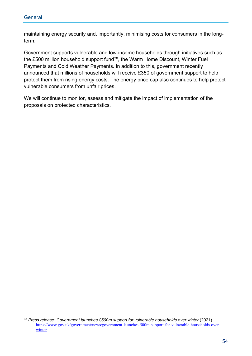maintaining energy security and, importantly, minimising costs for consumers in the longterm.

Government supports vulnerable and low-income households through initiatives such as the £500 million household support fund<sup>38</sup>, the Warm Home Discount, Winter Fuel Payments and Cold Weather Payments. In addition to this, government recently announced that millions of households will receive £350 of government support to help protect them from rising energy costs. The energy price cap also continues to help protect vulnerable consumers from unfair prices.

We will continue to monitor, assess and mitigate the impact of implementation of the proposals on protected characteristics.

<span id="page-60-0"></span><sup>&</sup>lt;sup>38</sup> Press release: Government launches £500m support for vulnerable households over winter (2021) [https://www.gov.uk/government/news/government-launches-500m-support-for-vulnerable-households-over](https://www.gov.uk/government/news/government-launches-500m-support-for-vulnerable-households-over-winter)[winter](https://www.gov.uk/government/news/government-launches-500m-support-for-vulnerable-households-over-winter)